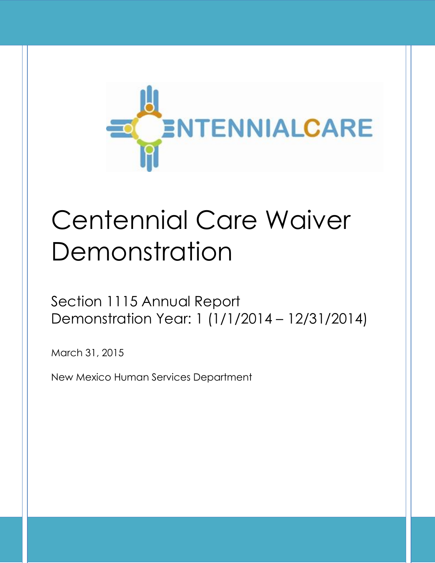

# Centennial Care Waiver Demonstration

Section 1115 Annual Report Demonstration Year: 1 (1/1/2014 – 12/31/2014)

March 31, 2015

New Mexico Human Services Department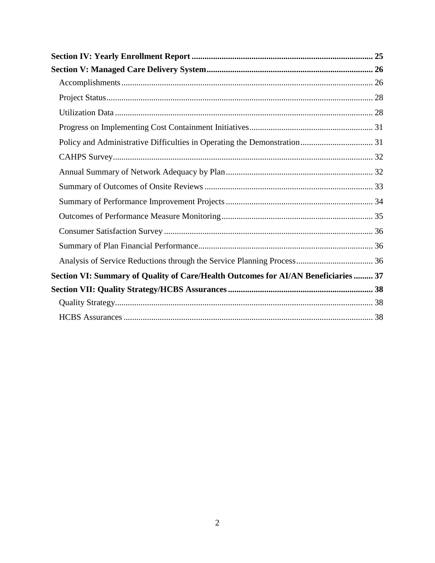| Section VI: Summary of Quality of Care/Health Outcomes for AI/AN Beneficiaries  37 |  |
|------------------------------------------------------------------------------------|--|
|                                                                                    |  |
|                                                                                    |  |
|                                                                                    |  |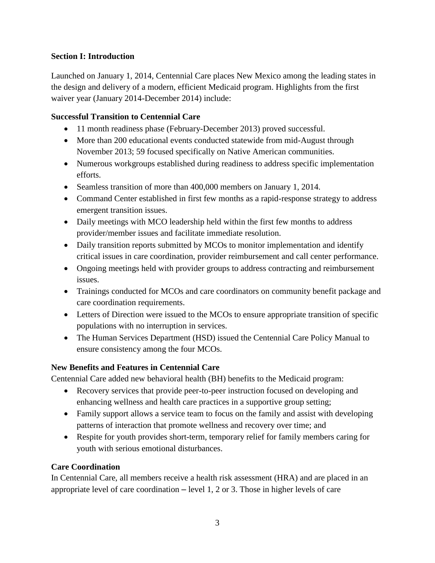## <span id="page-3-0"></span>**Section I: Introduction**

Launched on January 1, 2014, Centennial Care places New Mexico among the leading states in the design and delivery of a modern, efficient Medicaid program. Highlights from the first waiver year (January 2014-December 2014) include:

## <span id="page-3-1"></span>**Successful Transition to Centennial Care**

- 11 month readiness phase (February-December 2013) proved successful.
- More than 200 educational events conducted statewide from mid-August through November 2013; 59 focused specifically on Native American communities.
- Numerous workgroups established during readiness to address specific implementation efforts.
- Seamless transition of more than 400,000 members on January 1, 2014.
- Command Center established in first few months as a rapid-response strategy to address emergent transition issues.
- Daily meetings with MCO leadership held within the first few months to address provider/member issues and facilitate immediate resolution.
- Daily transition reports submitted by MCOs to monitor implementation and identify critical issues in care coordination, provider reimbursement and call center performance.
- Ongoing meetings held with provider groups to address contracting and reimbursement issues.
- Trainings conducted for MCOs and care coordinators on community benefit package and care coordination requirements.
- Letters of Direction were issued to the MCOs to ensure appropriate transition of specific populations with no interruption in services.
- The Human Services Department (HSD) issued the Centennial Care Policy Manual to ensure consistency among the four MCOs.

## <span id="page-3-2"></span>**New Benefits and Features in Centennial Care**

Centennial Care added new behavioral health (BH) benefits to the Medicaid program:

- Recovery services that provide peer-to-peer instruction focused on developing and enhancing wellness and health care practices in a supportive group setting;
- Family support allows a service team to focus on the family and assist with developing patterns of interaction that promote wellness and recovery over time; and
- Respite for youth provides short-term, temporary relief for family members caring for youth with serious emotional disturbances.

## <span id="page-3-3"></span>**Care Coordination**

In Centennial Care, all members receive a health risk assessment (HRA) and are placed in an appropriate level of care coordination – level 1, 2 or 3. Those in higher levels of care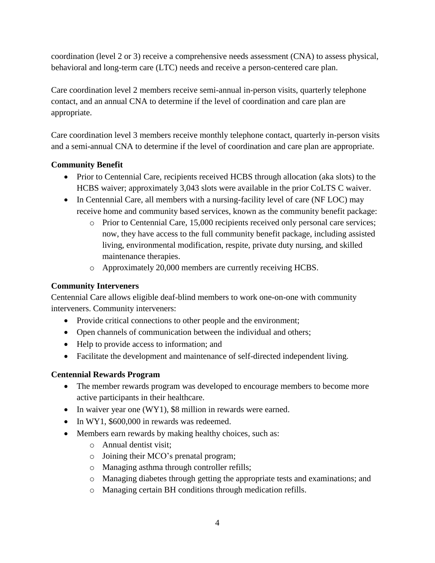coordination (level 2 or 3) receive a comprehensive needs assessment (CNA) to assess physical, behavioral and long-term care (LTC) needs and receive a person-centered care plan.

Care coordination level 2 members receive semi-annual in-person visits, quarterly telephone contact, and an annual CNA to determine if the level of coordination and care plan are appropriate.

Care coordination level 3 members receive monthly telephone contact, quarterly in-person visits and a semi-annual CNA to determine if the level of coordination and care plan are appropriate.

## <span id="page-4-0"></span>**Community Benefit**

- Prior to Centennial Care, recipients received HCBS through allocation (aka slots) to the HCBS waiver; approximately 3,043 slots were available in the prior CoLTS C waiver.
- In Centennial Care, all members with a nursing-facility level of care (NF LOC) may receive home and community based services, known as the community benefit package:
	- o Prior to Centennial Care, 15,000 recipients received only personal care services; now, they have access to the full community benefit package, including assisted living, environmental modification, respite, private duty nursing, and skilled maintenance therapies.
	- o Approximately 20,000 members are currently receiving HCBS.

## <span id="page-4-1"></span>**Community Interveners**

Centennial Care allows eligible deaf-blind members to work one-on-one with community interveners. Community interveners:

- Provide critical connections to other people and the environment;
- Open channels of communication between the individual and others;
- Help to provide access to information; and
- Facilitate the development and maintenance of self-directed independent living.

## <span id="page-4-2"></span>**Centennial Rewards Program**

- The member rewards program was developed to encourage members to become more active participants in their healthcare.
- In waiver year one (WY1), \$8 million in rewards were earned.
- In WY1, \$600,000 in rewards was redeemed.
- Members earn rewards by making healthy choices, such as:
	- o Annual dentist visit;
	- o Joining their MCO's prenatal program;
	- o Managing asthma through controller refills;
	- o Managing diabetes through getting the appropriate tests and examinations; and
	- o Managing certain BH conditions through medication refills.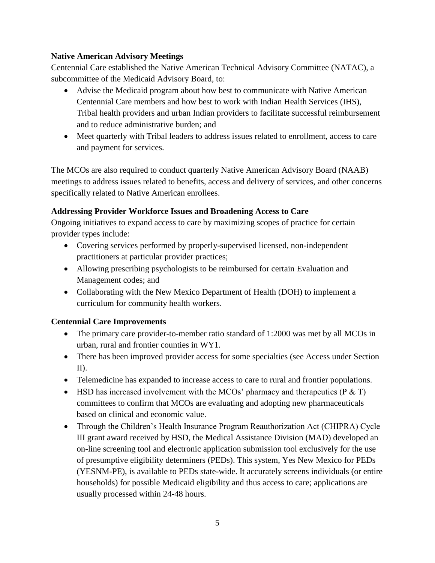## <span id="page-5-0"></span>**Native American Advisory Meetings**

Centennial Care established the Native American Technical Advisory Committee (NATAC), a subcommittee of the Medicaid Advisory Board, to:

- Advise the Medicaid program about how best to communicate with Native American Centennial Care members and how best to work with Indian Health Services (IHS), Tribal health providers and urban Indian providers to facilitate successful reimbursement and to reduce administrative burden; and
- Meet quarterly with Tribal leaders to address issues related to enrollment, access to care and payment for services.

The MCOs are also required to conduct quarterly Native American Advisory Board (NAAB) meetings to address issues related to benefits, access and delivery of services, and other concerns specifically related to Native American enrollees.

## <span id="page-5-1"></span>**Addressing Provider Workforce Issues and Broadening Access to Care**

Ongoing initiatives to expand access to care by maximizing scopes of practice for certain provider types include:

- Covering services performed by properly-supervised licensed, non-independent practitioners at particular provider practices;
- Allowing prescribing psychologists to be reimbursed for certain Evaluation and Management codes; and
- Collaborating with the New Mexico Department of Health (DOH) to implement a curriculum for community health workers.

## <span id="page-5-2"></span>**Centennial Care Improvements**

- The primary care provider-to-member ratio standard of 1:2000 was met by all MCOs in urban, rural and frontier counties in WY1.
- There has been improved provider access for some specialties (see Access under Section II).
- Telemedicine has expanded to increase access to care to rural and frontier populations.
- HSD has increased involvement with the MCOs' pharmacy and therapeutics ( $P \& T$ ) committees to confirm that MCOs are evaluating and adopting new pharmaceuticals based on clinical and economic value.
- Through the Children's Health Insurance Program Reauthorization Act (CHIPRA) Cycle III grant award received by HSD, the Medical Assistance Division (MAD) developed an on-line screening tool and electronic application submission tool exclusively for the use of presumptive eligibility determiners (PEDs). This system, Yes New Mexico for PEDs (YESNM-PE), is available to PEDs state-wide. It accurately screens individuals (or entire households) for possible Medicaid eligibility and thus access to care; applications are usually processed within 24-48 hours.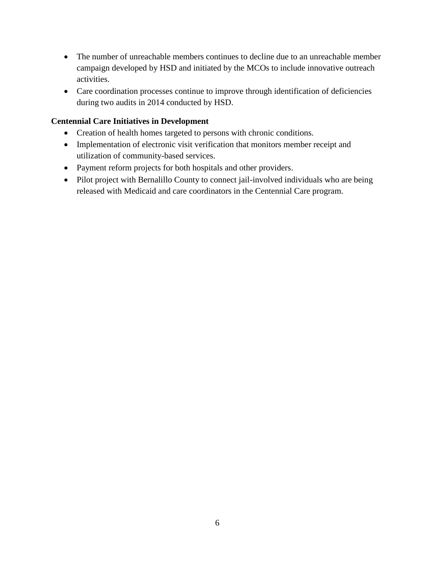- The number of unreachable members continues to decline due to an unreachable member campaign developed by HSD and initiated by the MCOs to include innovative outreach activities.
- Care coordination processes continue to improve through identification of deficiencies during two audits in 2014 conducted by HSD.

## <span id="page-6-0"></span>**Centennial Care Initiatives in Development**

- Creation of health homes targeted to persons with chronic conditions.
- Implementation of electronic visit verification that monitors member receipt and utilization of community-based services.
- Payment reform projects for both hospitals and other providers.
- Pilot project with Bernalillo County to connect jail-involved individuals who are being released with Medicaid and care coordinators in the Centennial Care program.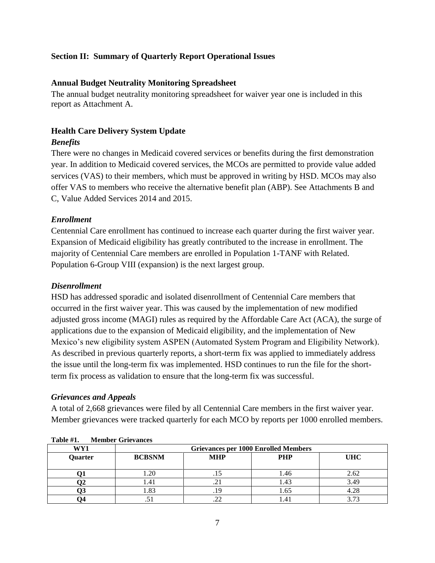## <span id="page-7-0"></span>**Section II: Summary of Quarterly Report Operational Issues**

#### <span id="page-7-1"></span>**Annual Budget Neutrality Monitoring Spreadsheet**

The annual budget neutrality monitoring spreadsheet for waiver year one is included in this report as Attachment A.

## <span id="page-7-2"></span>**Health Care Delivery System Update**

## <span id="page-7-3"></span>*Benefits*

There were no changes in Medicaid covered services or benefits during the first demonstration year. In addition to Medicaid covered services, the MCOs are permitted to provide value added services (VAS) to their members, which must be approved in writing by HSD. MCOs may also offer VAS to members who receive the alternative benefit plan (ABP). See Attachments B and C, Value Added Services 2014 and 2015.

## <span id="page-7-4"></span>*Enrollment*

Centennial Care enrollment has continued to increase each quarter during the first waiver year. Expansion of Medicaid eligibility has greatly contributed to the increase in enrollment. The majority of Centennial Care members are enrolled in Population 1-TANF with Related. Population 6-Group VIII (expansion) is the next largest group.

#### <span id="page-7-5"></span>*Disenrollment*

HSD has addressed sporadic and isolated disenrollment of Centennial Care members that occurred in the first waiver year. This was caused by the implementation of new modified adjusted gross income (MAGI) rules as required by the Affordable Care Act (ACA), the surge of applications due to the expansion of Medicaid eligibility, and the implementation of New Mexico's new eligibility system ASPEN (Automated System Program and Eligibility Network). As described in previous quarterly reports, a short-term fix was applied to immediately address the issue until the long-term fix was implemented. HSD continues to run the file for the shortterm fix process as validation to ensure that the long-term fix was successful.

#### <span id="page-7-6"></span>*Grievances and Appeals*

A total of 2,668 grievances were filed by all Centennial Care members in the first waiver year. Member grievances were tracked quarterly for each MCO by reports per 1000 enrolled members.

|         | --------        |                                             |            |            |  |  |  |
|---------|-----------------|---------------------------------------------|------------|------------|--|--|--|
| WY1     |                 | <b>Grievances per 1000 Enrolled Members</b> |            |            |  |  |  |
| Quarter | <b>BCBSNM</b>   | <b>MHP</b>                                  | <b>PHP</b> | <b>UHC</b> |  |  |  |
|         |                 |                                             |            |            |  |  |  |
|         | .20             |                                             | 1.46       | 2.62       |  |  |  |
|         | 1.41            | ر گ                                         | l.43       | 3.49       |  |  |  |
|         | $\circ$<br>1.00 |                                             | l.65       |            |  |  |  |
|         |                 |                                             |            |            |  |  |  |

#### **Table #1. Member Grievances**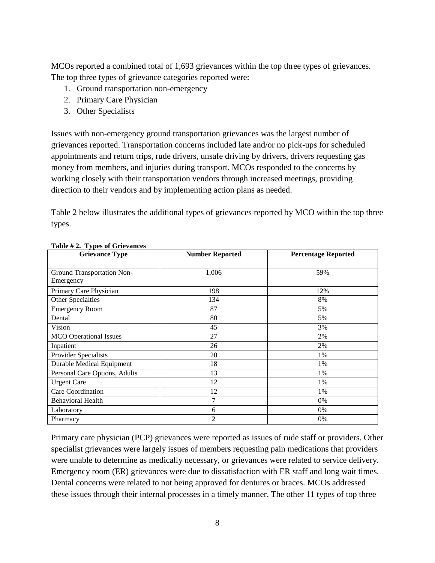MCOs reported a combined total of 1,693 grievances within the top three types of grievances. The top three types of grievance categories reported were:

- 1. Ground transportation non-emergency
- 2. Primary Care Physician
- 3. Other Specialists

Issues with non-emergency ground transportation grievances was the largest number of grievances reported. Transportation concerns included late and/or no pick-ups for scheduled appointments and return trips, rude drivers, unsafe driving by drivers, drivers requesting gas money from members, and injuries during transport. MCOs responded to the concerns by working closely with their transportation vendors through increased meetings, providing direction to their vendors and by implementing action plans as needed.

Table 2 below illustrates the additional types of grievances reported by MCO within the top three types.

| <b>Grievance Type</b>                   | <b>Number Reported</b> | <b>Percentage Reported</b> |
|-----------------------------------------|------------------------|----------------------------|
| Ground Transportation Non-<br>Emergency | 1,006                  | 59%                        |
| Primary Care Physician                  | 198                    | 12%                        |
| Other Specialties                       | 134                    | 8%                         |
| <b>Emergency Room</b>                   | 87                     | 5%                         |
| Dental                                  | 80                     | 5%                         |
| Vision                                  | 45                     | 3%                         |
| <b>MCO</b> Operational Issues           | 27                     | 2%                         |
| Inpatient                               | 26                     | 2%                         |
| Provider Specialists                    | 20                     | 1%                         |
| Durable Medical Equipment               | 18                     | 1%                         |
| Personal Care Options, Adults           | 13                     | 1%                         |
| <b>Urgent Care</b>                      | 12                     | 1%                         |
| Care Coordination                       | 12                     | 1%                         |
| <b>Behavioral Health</b>                | 7                      | 0%                         |
| Laboratory                              | 6                      | 0%                         |
| Pharmacy                                | $\overline{2}$         | 0%                         |

**Table # 2. Types of Grievances**

Primary care physician (PCP) grievances were reported as issues of rude staff or providers. Other specialist grievances were largely issues of members requesting pain medications that providers were unable to determine as medically necessary, or grievances were related to service delivery. Emergency room (ER) grievances were due to dissatisfaction with ER staff and long wait times. Dental concerns were related to not being approved for dentures or braces. MCOs addressed these issues through their internal processes in a timely manner. The other 11 types of top three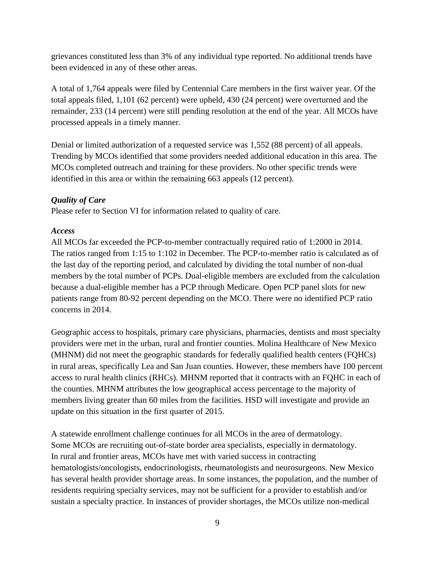grievances constituted less than 3% of any individual type reported. No additional trends have been evidenced in any of these other areas.

A total of 1,764 appeals were filed by Centennial Care members in the first waiver year. Of the total appeals filed, 1,101 (62 percent) were upheld, 430 (24 percent) were overturned and the remainder, 233 (14 percent) were still pending resolution at the end of the year. All MCOs have processed appeals in a timely manner.

Denial or limited authorization of a requested service was 1,552 (88 percent) of all appeals. Trending by MCOs identified that some providers needed additional education in this area. The MCOs completed outreach and training for these providers. No other specific trends were identified in this area or within the remaining 663 appeals (12 percent).

## <span id="page-9-0"></span>*Quality of Care*

Please refer to Section VI for information related to quality of care.

## <span id="page-9-1"></span>*Access*

All MCOs far exceeded the PCP-to-member contractually required ratio of 1:2000 in 2014. The ratios ranged from 1:15 to 1:102 in December. The PCP-to-member ratio is calculated as of the last day of the reporting period, and calculated by dividing the total number of non-dual members by the total number of PCPs. Dual-eligible members are excluded from the calculation because a dual-eligible member has a PCP through Medicare. Open PCP panel slots for new patients range from 80-92 percent depending on the MCO. There were no identified PCP ratio concerns in 2014.

Geographic access to hospitals, primary care physicians, pharmacies, dentists and most specialty providers were met in the urban, rural and frontier counties. Molina Healthcare of New Mexico (MHNM) did not meet the geographic standards for federally qualified health centers (FQHCs) in rural areas, specifically Lea and San Juan counties. However, these members have 100 percent access to rural health clinics (RHCs). MHNM reported that it contracts with an FQHC in each of the counties. MHNM attributes the low geographical access percentage to the majority of members living greater than 60 miles from the facilities. HSD will investigate and provide an update on this situation in the first quarter of 2015.

A statewide enrollment challenge continues for all MCOs in the area of dermatology. Some MCOs are recruiting out-of-state border area specialists, especially in dermatology. In rural and frontier areas, MCOs have met with varied success in contracting hematologists/oncologists, endocrinologists, rheumatologists and neurosurgeons. New Mexico has several health provider shortage areas. In some instances, the population, and the number of residents requiring specialty services, may not be sufficient for a provider to establish and/or sustain a specialty practice. In instances of provider shortages, the MCOs utilize non-medical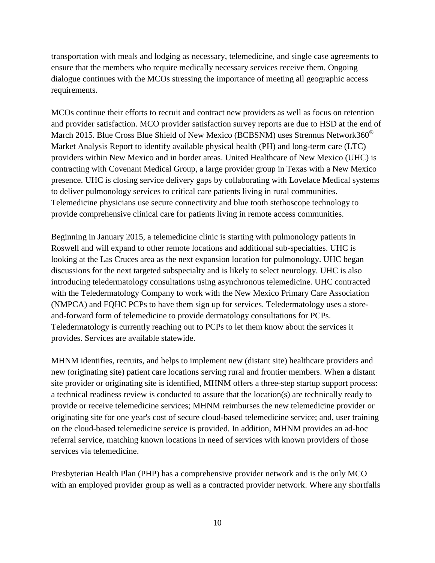transportation with meals and lodging as necessary, telemedicine, and single case agreements to ensure that the members who require medically necessary services receive them. Ongoing dialogue continues with the MCOs stressing the importance of meeting all geographic access requirements.

MCOs continue their efforts to recruit and contract new providers as well as focus on retention and provider satisfaction. MCO provider satisfaction survey reports are due to HSD at the end of March 2015. Blue Cross Blue Shield of New Mexico (BCBSNM) uses Strennus Network360<sup>®</sup> Market Analysis Report to identify available physical health (PH) and long-term care (LTC) providers within New Mexico and in border areas. United Healthcare of New Mexico (UHC) is contracting with Covenant Medical Group, a large provider group in Texas with a New Mexico presence. UHC is closing service delivery gaps by collaborating with Lovelace Medical systems to deliver pulmonology services to critical care patients living in rural communities. Telemedicine physicians use secure connectivity and blue tooth stethoscope technology to provide comprehensive clinical care for patients living in remote access communities.

Beginning in January 2015, a telemedicine clinic is starting with pulmonology patients in Roswell and will expand to other remote locations and additional sub-specialties. UHC is looking at the Las Cruces area as the next expansion location for pulmonology. UHC began discussions for the next targeted subspecialty and is likely to select neurology. UHC is also introducing teledermatology consultations using asynchronous telemedicine. UHC contracted with the Teledermatology Company to work with the New Mexico Primary Care Association (NMPCA) and FQHC PCPs to have them sign up for services. Teledermatology uses a storeand-forward form of telemedicine to provide dermatology consultations for PCPs. Teledermatology is currently reaching out to PCPs to let them know about the services it provides. Services are available statewide.

MHNM identifies, recruits, and helps to implement new (distant site) healthcare providers and new (originating site) patient care locations serving rural and frontier members. When a distant site provider or originating site is identified, MHNM offers a three-step startup support process: a technical readiness review is conducted to assure that the location(s) are technically ready to provide or receive telemedicine services; MHNM reimburses the new telemedicine provider or originating site for one year's cost of secure cloud-based telemedicine service; and, user training on the cloud-based telemedicine service is provided. In addition, MHNM provides an ad-hoc referral service, matching known locations in need of services with known providers of those services via telemedicine.

Presbyterian Health Plan (PHP) has a comprehensive provider network and is the only MCO with an employed provider group as well as a contracted provider network. Where any shortfalls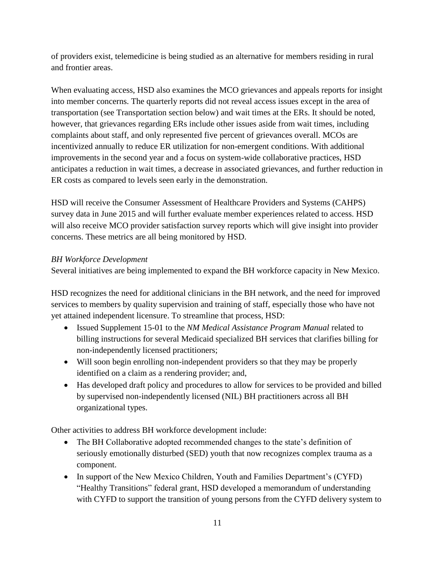of providers exist, telemedicine is being studied as an alternative for members residing in rural and frontier areas.

When evaluating access, HSD also examines the MCO grievances and appeals reports for insight into member concerns. The quarterly reports did not reveal access issues except in the area of transportation (see Transportation section below) and wait times at the ERs. It should be noted, however, that grievances regarding ERs include other issues aside from wait times, including complaints about staff, and only represented five percent of grievances overall. MCOs are incentivized annually to reduce ER utilization for non-emergent conditions. With additional improvements in the second year and a focus on system-wide collaborative practices, HSD anticipates a reduction in wait times, a decrease in associated grievances, and further reduction in ER costs as compared to levels seen early in the demonstration.

HSD will receive the Consumer Assessment of Healthcare Providers and Systems (CAHPS) survey data in June 2015 and will further evaluate member experiences related to access. HSD will also receive MCO provider satisfaction survey reports which will give insight into provider concerns. These metrics are all being monitored by HSD.

## *BH Workforce Development*

Several initiatives are being implemented to expand the BH workforce capacity in New Mexico.

HSD recognizes the need for additional clinicians in the BH network, and the need for improved services to members by quality supervision and training of staff, especially those who have not yet attained independent licensure. To streamline that process, HSD:

- Issued Supplement 15-01 to the *NM Medical Assistance Program Manual* related to billing instructions for several Medicaid specialized BH services that clarifies billing for non-independently licensed practitioners;
- Will soon begin enrolling non-independent providers so that they may be properly identified on a claim as a rendering provider; and,
- Has developed draft policy and procedures to allow for services to be provided and billed by supervised non-independently licensed (NIL) BH practitioners across all BH organizational types.

Other activities to address BH workforce development include:

- The BH Collaborative adopted recommended changes to the state's definition of seriously emotionally disturbed (SED) youth that now recognizes complex trauma as a component.
- In support of the New Mexico Children, Youth and Families Department's (CYFD) "Healthy Transitions" federal grant, HSD developed a memorandum of understanding with CYFD to support the transition of young persons from the CYFD delivery system to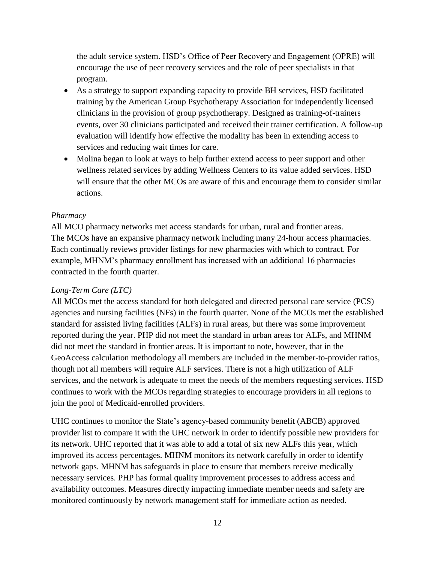the adult service system. HSD's Office of Peer Recovery and Engagement (OPRE) will encourage the use of peer recovery services and the role of peer specialists in that program.

- As a strategy to support expanding capacity to provide BH services, HSD facilitated training by the American Group Psychotherapy Association for independently licensed clinicians in the provision of group psychotherapy. Designed as training-of-trainers events, over 30 clinicians participated and received their trainer certification. A follow-up evaluation will identify how effective the modality has been in extending access to services and reducing wait times for care.
- Molina began to look at ways to help further extend access to peer support and other wellness related services by adding Wellness Centers to its value added services. HSD will ensure that the other MCOs are aware of this and encourage them to consider similar actions.

## *Pharmacy*

All MCO pharmacy networks met access standards for urban, rural and frontier areas. The MCOs have an expansive pharmacy network including many 24-hour access pharmacies. Each continually reviews provider listings for new pharmacies with which to contract. For example, MHNM's pharmacy enrollment has increased with an additional 16 pharmacies contracted in the fourth quarter.

## *Long-Term Care (LTC)*

All MCOs met the access standard for both delegated and directed personal care service (PCS) agencies and nursing facilities (NFs) in the fourth quarter. None of the MCOs met the established standard for assisted living facilities (ALFs) in rural areas, but there was some improvement reported during the year. PHP did not meet the standard in urban areas for ALFs, and MHNM did not meet the standard in frontier areas. It is important to note, however, that in the GeoAccess calculation methodology all members are included in the member-to-provider ratios, though not all members will require ALF services. There is not a high utilization of ALF services, and the network is adequate to meet the needs of the members requesting services. HSD continues to work with the MCOs regarding strategies to encourage providers in all regions to join the pool of Medicaid-enrolled providers.

UHC continues to monitor the State's agency-based community benefit (ABCB) approved provider list to compare it with the UHC network in order to identify possible new providers for its network. UHC reported that it was able to add a total of six new ALFs this year, which improved its access percentages. MHNM monitors its network carefully in order to identify network gaps. MHNM has safeguards in place to ensure that members receive medically necessary services. PHP has formal quality improvement processes to address access and availability outcomes. Measures directly impacting immediate member needs and safety are monitored continuously by network management staff for immediate action as needed.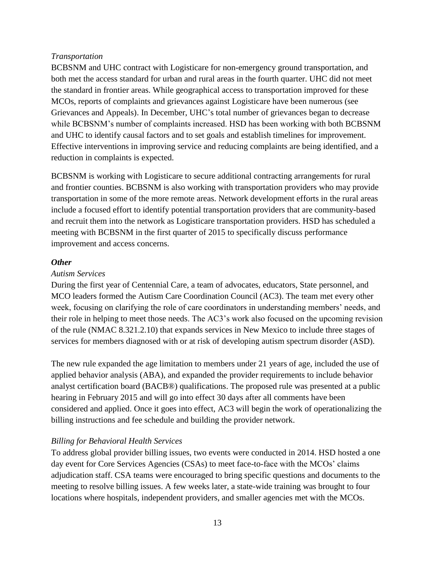#### *Transportation*

BCBSNM and UHC contract with Logisticare for non-emergency ground transportation, and both met the access standard for urban and rural areas in the fourth quarter. UHC did not meet the standard in frontier areas. While geographical access to transportation improved for these MCOs, reports of complaints and grievances against Logisticare have been numerous (see Grievances and Appeals). In December, UHC's total number of grievances began to decrease while BCBSNM's number of complaints increased. HSD has been working with both BCBSNM and UHC to identify causal factors and to set goals and establish timelines for improvement. Effective interventions in improving service and reducing complaints are being identified, and a reduction in complaints is expected.

BCBSNM is working with Logisticare to secure additional contracting arrangements for rural and frontier counties. BCBSNM is also working with transportation providers who may provide transportation in some of the more remote areas. Network development efforts in the rural areas include a focused effort to identify potential transportation providers that are community-based and recruit them into the network as Logisticare transportation providers. HSD has scheduled a meeting with BCBSNM in the first quarter of 2015 to specifically discuss performance improvement and access concerns.

## <span id="page-13-0"></span>*Other*

#### *Autism Services*

During the first year of Centennial Care, a team of advocates, educators, State personnel, and MCO leaders formed the Autism Care Coordination Council (AC3). The team met every other week, focusing on clarifying the role of care coordinators in understanding members' needs, and their role in helping to meet those needs. The AC3's work also focused on the upcoming revision of the rule (NMAC 8.321.2.10) that expands services in New Mexico to include three stages of services for members diagnosed with or at risk of developing autism spectrum disorder (ASD).

The new rule expanded the age limitation to members under 21 years of age, included the use of applied behavior analysis (ABA), and expanded the provider requirements to include behavior analyst certification board (BACB®) qualifications. The proposed rule was presented at a public hearing in February 2015 and will go into effect 30 days after all comments have been considered and applied. Once it goes into effect, AC3 will begin the work of operationalizing the billing instructions and fee schedule and building the provider network.

## *Billing for Behavioral Health Services*

To address global provider billing issues, two events were conducted in 2014. HSD hosted a one day event for Core Services Agencies (CSAs) to meet face-to-face with the MCOs' claims adjudication staff. CSA teams were encouraged to bring specific questions and documents to the meeting to resolve billing issues. A few weeks later, a state-wide training was brought to four locations where hospitals, independent providers, and smaller agencies met with the MCOs.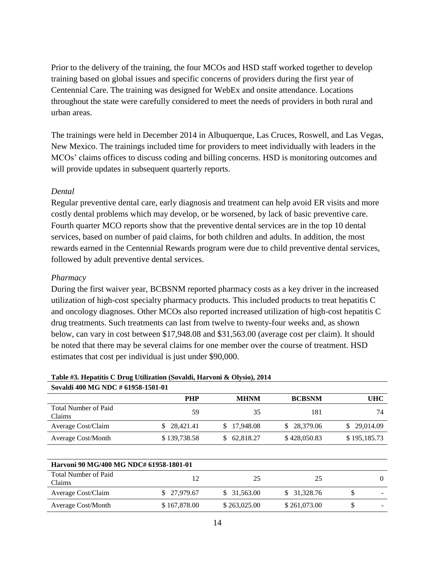Prior to the delivery of the training, the four MCOs and HSD staff worked together to develop training based on global issues and specific concerns of providers during the first year of Centennial Care. The training was designed for WebEx and onsite attendance. Locations throughout the state were carefully considered to meet the needs of providers in both rural and urban areas.

The trainings were held in December 2014 in Albuquerque, Las Cruces, Roswell, and Las Vegas, New Mexico. The trainings included time for providers to meet individually with leaders in the MCOs' claims offices to discuss coding and billing concerns. HSD is monitoring outcomes and will provide updates in subsequent quarterly reports.

#### *Dental*

Regular preventive dental care, early diagnosis and treatment can help avoid ER visits and more costly dental problems which may develop, or be worsened, by lack of basic preventive care. Fourth quarter MCO reports show that the preventive dental services are in the top 10 dental services, based on number of paid claims, for both children and adults. In addition, the most rewards earned in the Centennial Rewards program were due to child preventive dental services, followed by adult preventive dental services.

#### *Pharmacy*

During the first waiver year, BCBSNM reported pharmacy costs as a key driver in the increased utilization of high-cost specialty pharmacy products. This included products to treat hepatitis C and oncology diagnoses. Other MCOs also reported increased utilization of high-cost hepatitis C drug treatments. Such treatments can last from twelve to twenty-four weeks and, as shown below, can vary in cost between \$17,948.08 and \$31,563.00 (average cost per claim). It should be noted that there may be several claims for one member over the course of treatment. HSD estimates that cost per individual is just under \$90,000.

#### **Table #3. Hepatitis C Drug Utilization (Sovaldi, Harvoni & Olysio), 2014 Sovaldi 400 MG NDC # 61958-1501-01**

| <b>DOVAIGH TOO INTO TYPE</b> # 01720-1201-01 |              |             |               |              |  |  |
|----------------------------------------------|--------------|-------------|---------------|--------------|--|--|
|                                              | <b>PHP</b>   | <b>MHNM</b> | <b>BCBSNM</b> | UHC          |  |  |
| Total Number of Paid<br>Claims               | 59           | 35          | 181           | 74           |  |  |
| Average Cost/Claim                           | \$ 28,421.41 | \$17,948.08 | \$ 28,379.06  | \$29,014.09  |  |  |
| Average Cost/Month                           | \$139,738.58 | \$62.818.27 | \$428,050.83  | \$195,185.73 |  |  |
|                                              |              |             |               |              |  |  |

| Harvoni 90 MG/400 MG NDC# 61958-1801-01 |              |              |              |  |  |  |
|-----------------------------------------|--------------|--------------|--------------|--|--|--|
| Total Number of Paid<br>Claims          | 12           | 25           | 25           |  |  |  |
| Average Cost/Claim                      | \$ 27,979.67 | \$31,563.00  | \$ 31,328.76 |  |  |  |
| <b>Average Cost/Month</b>               | \$167,878.00 | \$263,025.00 | \$261,073.00 |  |  |  |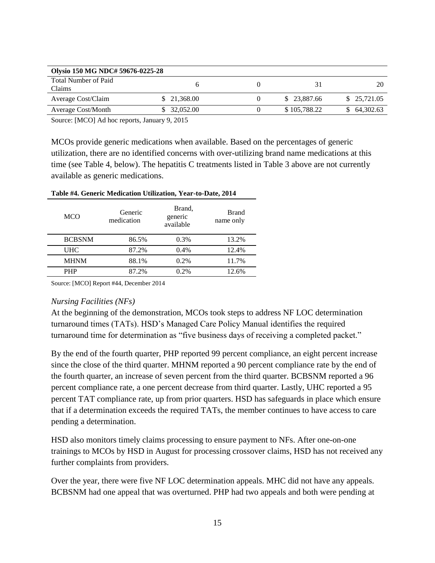| Olysio 150 MG NDC# 59676-0225-28 |              |              |              |
|----------------------------------|--------------|--------------|--------------|
| Total Number of Paid<br>Claims   |              |              |              |
| Average Cost/Claim               | \$ 21,368.00 | \$23,887.66  | \$ 25,721.05 |
| <b>Average Cost/Month</b>        | \$ 32,052.00 | \$105,788.22 | \$64,302.63  |

Source: [MCO] Ad hoc reports, January 9, 2015

MCOs provide generic medications when available. Based on the percentages of generic utilization, there are no identified concerns with over-utilizing brand name medications at this time (see Table 4, below). The hepatitis C treatments listed in Table 3 above are not currently available as generic medications.

| <b>MCO</b>    | Generic<br>medication | Brand.<br>generic<br>available | <b>Brand</b><br>name only |
|---------------|-----------------------|--------------------------------|---------------------------|
| <b>BCBSNM</b> | 86.5%                 | $0.3\%$                        | 13.2%                     |
| <b>UHC</b>    | 87.2%                 | 0.4%                           | 12.4%                     |
| <b>MHNM</b>   | 88.1%                 | $0.2\%$                        | 11.7%                     |
| <b>PHP</b>    | 87.2%                 | 0.2%                           | 12.6%                     |

**Table #4. Generic Medication Utilization, Year-to-Date, 2014**

Source: [MCO] Report #44, December 2014

#### *Nursing Facilities (NFs)*

At the beginning of the demonstration, MCOs took steps to address NF LOC determination turnaround times (TATs). HSD's Managed Care Policy Manual identifies the required turnaround time for determination as "five business days of receiving a completed packet."

By the end of the fourth quarter, PHP reported 99 percent compliance, an eight percent increase since the close of the third quarter. MHNM reported a 90 percent compliance rate by the end of the fourth quarter, an increase of seven percent from the third quarter. BCBSNM reported a 96 percent compliance rate, a one percent decrease from third quarter. Lastly, UHC reported a 95 percent TAT compliance rate, up from prior quarters. HSD has safeguards in place which ensure that if a determination exceeds the required TATs, the member continues to have access to care pending a determination.

HSD also monitors timely claims processing to ensure payment to NFs. After one-on-one trainings to MCOs by HSD in August for processing crossover claims, HSD has not received any further complaints from providers.

Over the year, there were five NF LOC determination appeals. MHC did not have any appeals. BCBSNM had one appeal that was overturned. PHP had two appeals and both were pending at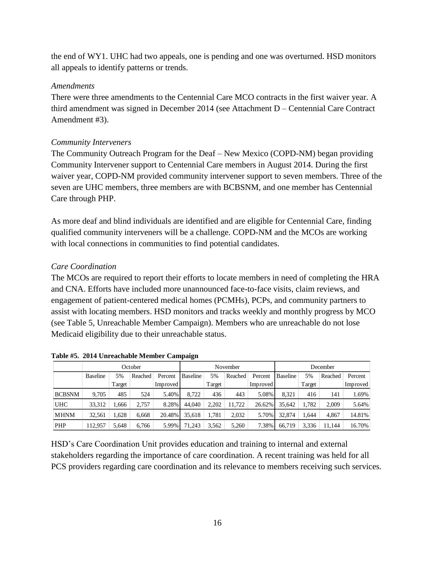the end of WY1. UHC had two appeals, one is pending and one was overturned. HSD monitors all appeals to identify patterns or trends.

## *Amendments*

There were three amendments to the Centennial Care MCO contracts in the first waiver year. A third amendment was signed in December 2014 (see Attachment D – Centennial Care Contract Amendment #3).

## *Community Interveners*

The Community Outreach Program for the Deaf – New Mexico (COPD-NM) began providing Community Intervener support to Centennial Care members in August 2014. During the first waiver year, COPD-NM provided community intervener support to seven members. Three of the seven are UHC members, three members are with BCBSNM, and one member has Centennial Care through PHP.

As more deaf and blind individuals are identified and are eligible for Centennial Care, finding qualified community interveners will be a challenge. COPD-NM and the MCOs are working with local connections in communities to find potential candidates.

## *Care Coordination*

The MCOs are required to report their efforts to locate members in need of completing the HRA and CNA. Efforts have included more unannounced face-to-face visits, claim reviews, and engagement of patient-centered medical homes (PCMHs), PCPs, and community partners to assist with locating members. HSD monitors and tracks weekly and monthly progress by MCO (see Table 5, Unreachable Member Campaign). Members who are unreachable do not lose Medicaid eligibility due to their unreachable status.

|               |                 |        | October |          |                 |        | November |          |                 |        | December |          |
|---------------|-----------------|--------|---------|----------|-----------------|--------|----------|----------|-----------------|--------|----------|----------|
|               | <b>Baseline</b> | 5%     | Reached | Percent  | <b>Baseline</b> | 5%     | Reached  | Percent  | <b>Baseline</b> | 5%     | Reached  | Percent  |
|               |                 | Target |         | Improved |                 | Target |          | Improved |                 | Target |          | Improved |
| <b>BCBSNM</b> | 9.705           | 485    | 524     | 5.40%    | 8.722           | 436    | 443      | 5.08%    | 8.321           | 416    | 141      | 1.69%    |
| <b>UHC</b>    | 33,312          | .666   | 2.757   | 8.28%    | 44,040          | 2.202  | 11.722   | 26.62%   | 35.642          | 1.782  | 2.009    | 5.64%    |
| <b>MHNM</b>   | 32,561          | 1.628  | 6.668   | 20.48%   | 35.618          | 1.781  | 2,032    | 5.70%    | 32.874          | .644   | 4.867    | 14.81%   |
| PHP           | 12,957          | 5.648  | 6,766   | 5.99%    | 71,243          | 3,562  | 5,260    | 7.38%    | 66.719          | 3,336  | 11.144   | 16.70%   |

**Table #5. 2014 Unreachable Member Campaign**

HSD's Care Coordination Unit provides education and training to internal and external stakeholders regarding the importance of care coordination. A recent training was held for all PCS providers regarding care coordination and its relevance to members receiving such services.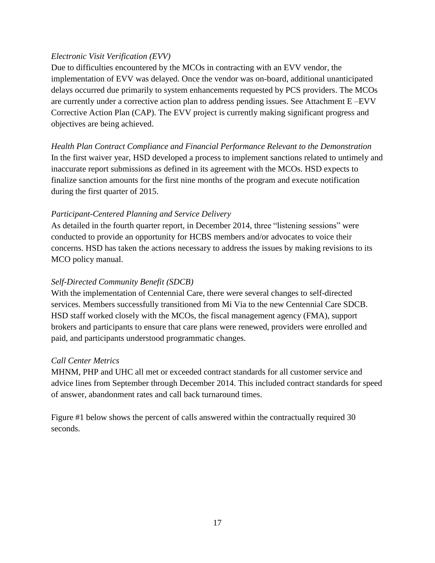## *Electronic Visit Verification (EVV)*

Due to difficulties encountered by the MCOs in contracting with an EVV vendor, the implementation of EVV was delayed. Once the vendor was on-board, additional unanticipated delays occurred due primarily to system enhancements requested by PCS providers. The MCOs are currently under a corrective action plan to address pending issues. See Attachment E –EVV Corrective Action Plan (CAP). The EVV project is currently making significant progress and objectives are being achieved.

*Health Plan Contract Compliance and Financial Performance Relevant to the Demonstration* In the first waiver year, HSD developed a process to implement sanctions related to untimely and inaccurate report submissions as defined in its agreement with the MCOs. HSD expects to finalize sanction amounts for the first nine months of the program and execute notification during the first quarter of 2015.

## *Participant-Centered Planning and Service Delivery*

As detailed in the fourth quarter report, in December 2014, three "listening sessions" were conducted to provide an opportunity for HCBS members and/or advocates to voice their concerns. HSD has taken the actions necessary to address the issues by making revisions to its MCO policy manual.

## *Self-Directed Community Benefit (SDCB)*

With the implementation of Centennial Care, there were several changes to self-directed services. Members successfully transitioned from Mi Via to the new Centennial Care SDCB. HSD staff worked closely with the MCOs, the fiscal management agency (FMA), support brokers and participants to ensure that care plans were renewed, providers were enrolled and paid, and participants understood programmatic changes.

## *Call Center Metrics*

MHNM, PHP and UHC all met or exceeded contract standards for all customer service and advice lines from September through December 2014. This included contract standards for speed of answer, abandonment rates and call back turnaround times.

Figure #1 below shows the percent of calls answered within the contractually required 30 seconds.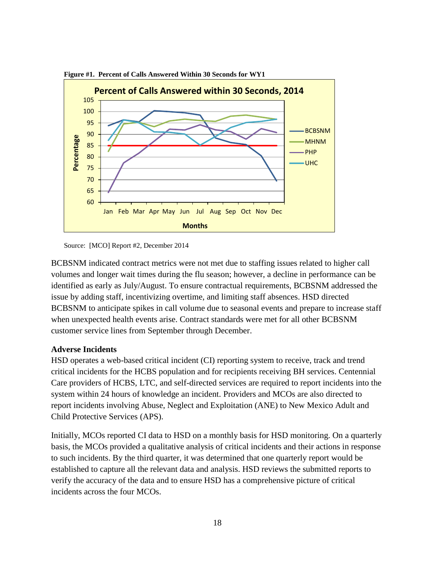

**Figure #1. Percent of Calls Answered Within 30 Seconds for WY1**

BCBSNM indicated contract metrics were not met due to staffing issues related to higher call volumes and longer wait times during the flu season; however, a decline in performance can be identified as early as July/August. To ensure contractual requirements, BCBSNM addressed the issue by adding staff, incentivizing overtime, and limiting staff absences. HSD directed BCBSNM to anticipate spikes in call volume due to seasonal events and prepare to increase staff when unexpected health events arise. Contract standards were met for all other BCBSNM customer service lines from September through December.

#### <span id="page-18-0"></span>**Adverse Incidents**

HSD operates a web-based critical incident (CI) reporting system to receive, track and trend critical incidents for the HCBS population and for recipients receiving BH services. Centennial Care providers of HCBS, LTC, and self-directed services are required to report incidents into the system within 24 hours of knowledge an incident. Providers and MCOs are also directed to report incidents involving Abuse, Neglect and Exploitation (ANE) to New Mexico Adult and Child Protective Services (APS).

Initially, MCOs reported CI data to HSD on a monthly basis for HSD monitoring. On a quarterly basis, the MCOs provided a qualitative analysis of critical incidents and their actions in response to such incidents. By the third quarter, it was determined that one quarterly report would be established to capture all the relevant data and analysis. HSD reviews the submitted reports to verify the accuracy of the data and to ensure HSD has a comprehensive picture of critical incidents across the four MCOs.

Source: [MCO] Report #2, December 2014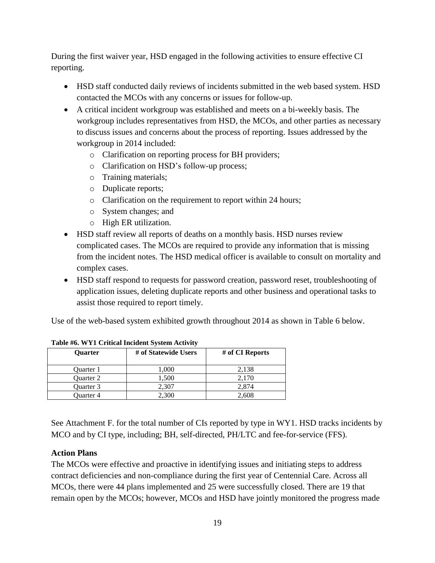During the first waiver year, HSD engaged in the following activities to ensure effective CI reporting.

- HSD staff conducted daily reviews of incidents submitted in the web based system. HSD contacted the MCOs with any concerns or issues for follow-up.
- A critical incident workgroup was established and meets on a bi-weekly basis. The workgroup includes representatives from HSD, the MCOs, and other parties as necessary to discuss issues and concerns about the process of reporting. Issues addressed by the workgroup in 2014 included:
	- o Clarification on reporting process for BH providers;
	- o Clarification on HSD's follow-up process;
	- o Training materials;
	- o Duplicate reports;
	- o Clarification on the requirement to report within 24 hours;
	- o System changes; and
	- o High ER utilization.
- HSD staff review all reports of deaths on a monthly basis. HSD nurses review complicated cases. The MCOs are required to provide any information that is missing from the incident notes. The HSD medical officer is available to consult on mortality and complex cases.
- HSD staff respond to requests for password creation, password reset, troubleshooting of application issues, deleting duplicate reports and other business and operational tasks to assist those required to report timely.

Use of the web-based system exhibited growth throughout 2014 as shown in Table 6 below.

| <b>Ouarter</b> | # of Statewide Users | # of CI Reports |  |  |  |  |
|----------------|----------------------|-----------------|--|--|--|--|
| Ouarter 1      | 1,000                | 2,138           |  |  |  |  |
| Ouarter 2      | 1,500                | 2.170           |  |  |  |  |
| Ouarter 3      | 2.307                | 2,874           |  |  |  |  |
| Ouarter 4      | 2,300                | 2.608           |  |  |  |  |

**Table #6. WY1 Critical Incident System Activity**

See Attachment F. for the total number of CIs reported by type in WY1. HSD tracks incidents by MCO and by CI type, including; BH, self-directed, PH/LTC and fee-for-service (FFS).

# <span id="page-19-0"></span>**Action Plans**

The MCOs were effective and proactive in identifying issues and initiating steps to address contract deficiencies and non-compliance during the first year of Centennial Care. Across all MCOs, there were 44 plans implemented and 25 were successfully closed. There are 19 that remain open by the MCOs; however, MCOs and HSD have jointly monitored the progress made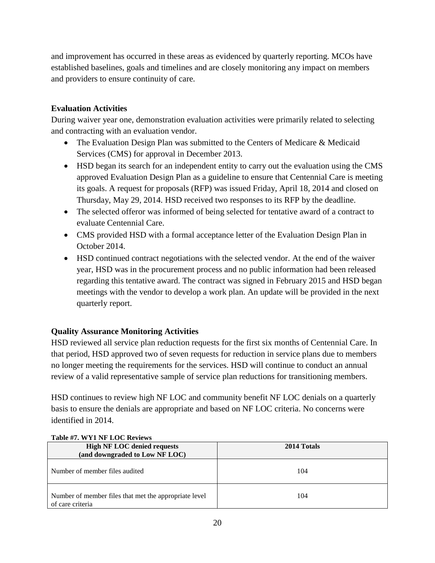and improvement has occurred in these areas as evidenced by quarterly reporting. MCOs have established baselines, goals and timelines and are closely monitoring any impact on members and providers to ensure continuity of care.

## <span id="page-20-0"></span>**Evaluation Activities**

During waiver year one, demonstration evaluation activities were primarily related to selecting and contracting with an evaluation vendor.

- The Evaluation Design Plan was submitted to the Centers of Medicare & Medicaid Services (CMS) for approval in December 2013.
- HSD began its search for an independent entity to carry out the evaluation using the CMS approved Evaluation Design Plan as a guideline to ensure that Centennial Care is meeting its goals. A request for proposals (RFP) was issued Friday, April 18, 2014 and closed on Thursday, May 29, 2014. HSD received two responses to its RFP by the deadline.
- The selected offeror was informed of being selected for tentative award of a contract to evaluate Centennial Care.
- CMS provided HSD with a formal acceptance letter of the Evaluation Design Plan in October 2014.
- HSD continued contract negotiations with the selected vendor. At the end of the waiver year, HSD was in the procurement process and no public information had been released regarding this tentative award. The contract was signed in February 2015 and HSD began meetings with the vendor to develop a work plan. An update will be provided in the next quarterly report.

## <span id="page-20-1"></span>**Quality Assurance Monitoring Activities**

HSD reviewed all service plan reduction requests for the first six months of Centennial Care. In that period, HSD approved two of seven requests for reduction in service plans due to members no longer meeting the requirements for the services. HSD will continue to conduct an annual review of a valid representative sample of service plan reductions for transitioning members.

HSD continues to review high NF LOC and community benefit NF LOC denials on a quarterly basis to ensure the denials are appropriate and based on NF LOC criteria. No concerns were identified in 2014.

| $1400 \text{C} \ \text{m/s}$ is $111 \text{C}$ for a set $\text{m/s}$     |             |
|---------------------------------------------------------------------------|-------------|
| <b>High NF LOC denied requests</b>                                        | 2014 Totals |
| (and downgraded to Low NF LOC)                                            |             |
| Number of member files audited                                            | 104         |
| Number of member files that met the appropriate level<br>of care criteria | 104         |

#### **Table #7. WY1 NF LOC Reviews**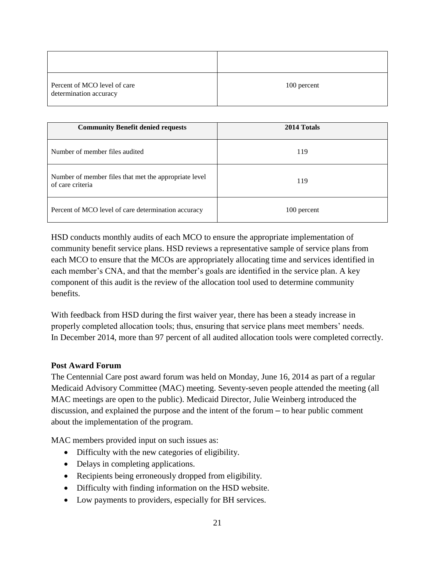| Percent of MCO level of care<br>determination accuracy | 100 percent |
|--------------------------------------------------------|-------------|

| <b>Community Benefit denied requests</b>                                  | 2014 Totals |
|---------------------------------------------------------------------------|-------------|
| Number of member files audited                                            | 119         |
| Number of member files that met the appropriate level<br>of care criteria | 119         |
| Percent of MCO level of care determination accuracy                       | 100 percent |

HSD conducts monthly audits of each MCO to ensure the appropriate implementation of community benefit service plans. HSD reviews a representative sample of service plans from each MCO to ensure that the MCOs are appropriately allocating time and services identified in each member's CNA, and that the member's goals are identified in the service plan. A key component of this audit is the review of the allocation tool used to determine community benefits.

With feedback from HSD during the first waiver year, there has been a steady increase in properly completed allocation tools; thus, ensuring that service plans meet members' needs. In December 2014, more than 97 percent of all audited allocation tools were completed correctly.

## <span id="page-21-0"></span>**Post Award Forum**

The Centennial Care post award forum was held on Monday, June 16, 2014 as part of a regular Medicaid Advisory Committee (MAC) meeting. Seventy-seven people attended the meeting (all MAC meetings are open to the public). Medicaid Director, Julie Weinberg introduced the discussion, and explained the purpose and the intent of the forum – to hear public comment about the implementation of the program.

MAC members provided input on such issues as:

- Difficulty with the new categories of eligibility.
- Delays in completing applications.
- Recipients being erroneously dropped from eligibility.
- Difficulty with finding information on the HSD website.
- Low payments to providers, especially for BH services.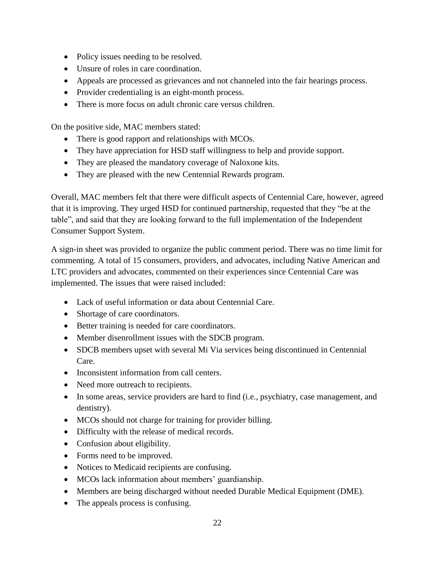- Policy issues needing to be resolved.
- Unsure of roles in care coordination.
- Appeals are processed as grievances and not channeled into the fair hearings process.
- Provider credentialing is an eight-month process.
- There is more focus on adult chronic care versus children.

On the positive side, MAC members stated:

- There is good rapport and relationships with MCOs.
- They have appreciation for HSD staff willingness to help and provide support.
- They are pleased the mandatory coverage of Naloxone kits.
- They are pleased with the new Centennial Rewards program.

Overall, MAC members felt that there were difficult aspects of Centennial Care, however, agreed that it is improving. They urged HSD for continued partnership, requested that they "be at the table", and said that they are looking forward to the full implementation of the Independent Consumer Support System.

A sign-in sheet was provided to organize the public comment period. There was no time limit for commenting. A total of 15 consumers, providers, and advocates, including Native American and LTC providers and advocates, commented on their experiences since Centennial Care was implemented. The issues that were raised included:

- Lack of useful information or data about Centennial Care.
- Shortage of care coordinators.
- Better training is needed for care coordinators.
- Member disenrollment issues with the SDCB program.
- SDCB members upset with several Mi Via services being discontinued in Centennial Care.
- Inconsistent information from call centers.
- Need more outreach to recipients.
- In some areas, service providers are hard to find (i.e., psychiatry, case management, and dentistry).
- MCOs should not charge for training for provider billing.
- Difficulty with the release of medical records.
- Confusion about eligibility.
- Forms need to be improved.
- Notices to Medicaid recipients are confusing.
- MCOs lack information about members' guardianship.
- Members are being discharged without needed Durable Medical Equipment (DME).
- The appeals process is confusing.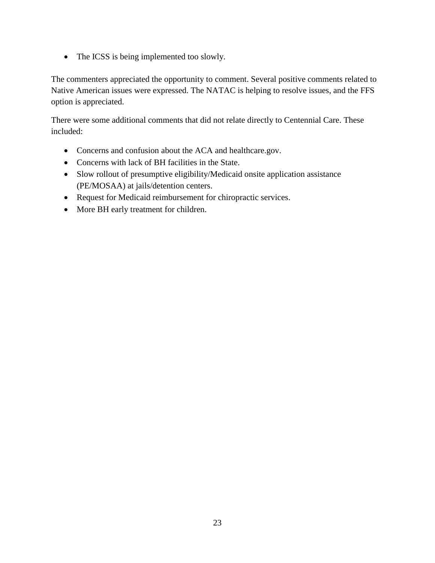• The ICSS is being implemented too slowly.

The commenters appreciated the opportunity to comment. Several positive comments related to Native American issues were expressed. The NATAC is helping to resolve issues, and the FFS option is appreciated.

There were some additional comments that did not relate directly to Centennial Care. These included:

- Concerns and confusion about the ACA and healthcare.gov.
- Concerns with lack of BH facilities in the State.
- Slow rollout of presumptive eligibility/Medicaid onsite application assistance (PE/MOSAA) at jails/detention centers.
- Request for Medicaid reimbursement for chiropractic services.
- More BH early treatment for children.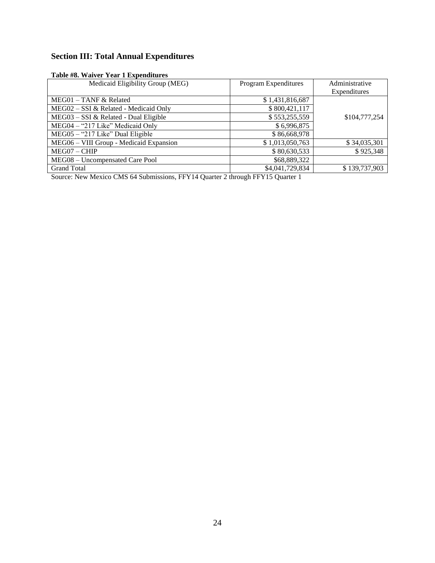# <span id="page-24-0"></span>**Section III: Total Annual Expenditures**

#### **Table #8. Waiver Year 1 Expenditures**

| Medicaid Eligibility Group (MEG)        | Program Expenditures | Administrative |
|-----------------------------------------|----------------------|----------------|
|                                         |                      | Expenditures   |
| $MEG01 - TANF & Related$                | \$1,431,816,687      |                |
| MEG02 - SSI & Related - Medicaid Only   | \$800,421,117        |                |
| MEG03 - SSI & Related - Dual Eligible   | \$553,255,559        | \$104,777,254  |
| MEG04 - "217 Like" Medicaid Only        | \$6,996,875          |                |
| MEG05 - "217 Like" Dual Eligible        | \$86,668,978         |                |
| MEG06 - VIII Group - Medicaid Expansion | \$1,013,050,763      | \$34,035,301   |
| MEG07 - CHIP                            | \$80,630,533         | \$925,348      |
| MEG08 - Uncompensated Care Pool         | \$68,889,322         |                |
| <b>Grand Total</b>                      | \$4,041,729,834      | \$139,737,903  |

Source: New Mexico CMS 64 Submissions, FFY14 Quarter 2 through FFY15 Quarter 1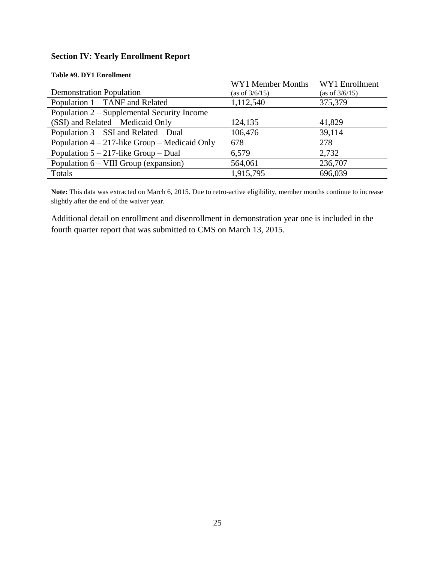## <span id="page-25-0"></span>**Section IV: Yearly Enrollment Report**

|                                                  | WY1 Member Months | WY1 Enrollment    |
|--------------------------------------------------|-------------------|-------------------|
| <b>Demonstration Population</b>                  | (as of 3/6/15)    | (as of $3/6/15$ ) |
| Population 1 – TANF and Related                  | 1,112,540         | 375,379           |
| Population 2 – Supplemental Security Income      |                   |                   |
| (SSI) and Related – Medicaid Only                | 124,135           | 41,829            |
| Population $3 - SSI$ and Related – Dual          | 106,476           | 39,114            |
| Population $4 - 217$ -like Group – Medicaid Only | 678               | 278               |
| Population $5 - 217$ -like Group – Dual          | 6,579             | 2,732             |
| Population $6 - VIII$ Group (expansion)          | 564,061           | 236,707           |
| Totals                                           | 1,915,795         | 696,039           |

**Table #9. DY1 Enrollment**

**Note:** This data was extracted on March 6, 2015. Due to retro-active eligibility, member months continue to increase slightly after the end of the waiver year.

Additional detail on enrollment and disenrollment in demonstration year one is included in the fourth quarter report that was submitted to CMS on March 13, 2015.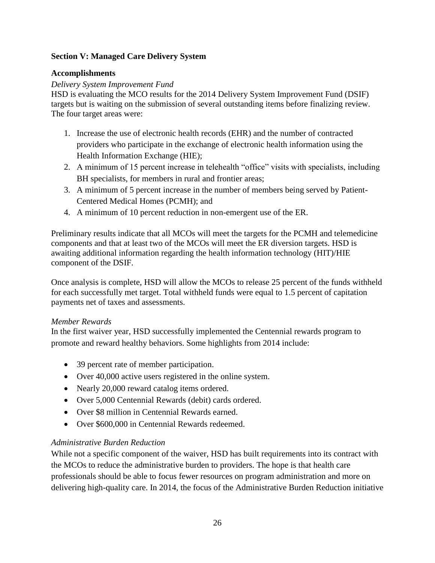## <span id="page-26-0"></span>**Section V: Managed Care Delivery System**

## <span id="page-26-1"></span>**Accomplishments**

## *Delivery System Improvement Fund*

HSD is evaluating the MCO results for the 2014 Delivery System Improvement Fund (DSIF) targets but is waiting on the submission of several outstanding items before finalizing review. The four target areas were:

- 1. Increase the use of electronic health records (EHR) and the number of contracted providers who participate in the exchange of electronic health information using the Health Information Exchange (HIE);
- 2. A minimum of 15 percent increase in telehealth "office" visits with specialists, including BH specialists, for members in rural and frontier areas;
- 3. A minimum of 5 percent increase in the number of members being served by Patient-Centered Medical Homes (PCMH); and
- 4. A minimum of 10 percent reduction in non-emergent use of the ER.

Preliminary results indicate that all MCOs will meet the targets for the PCMH and telemedicine components and that at least two of the MCOs will meet the ER diversion targets. HSD is awaiting additional information regarding the health information technology (HIT)/HIE component of the DSIF.

Once analysis is complete, HSD will allow the MCOs to release 25 percent of the funds withheld for each successfully met target. Total withheld funds were equal to 1.5 percent of capitation payments net of taxes and assessments.

## *Member Rewards*

In the first waiver year, HSD successfully implemented the Centennial rewards program to promote and reward healthy behaviors. Some highlights from 2014 include:

- 39 percent rate of member participation.
- Over 40,000 active users registered in the online system.
- Nearly 20,000 reward catalog items ordered.
- Over 5,000 Centennial Rewards (debit) cards ordered.
- Over \$8 million in Centennial Rewards earned.
- Over \$600,000 in Centennial Rewards redeemed.

## *Administrative Burden Reduction*

While not a specific component of the waiver, HSD has built requirements into its contract with the MCOs to reduce the administrative burden to providers. The hope is that health care professionals should be able to focus fewer resources on program administration and more on delivering high-quality care. In 2014, the focus of the Administrative Burden Reduction initiative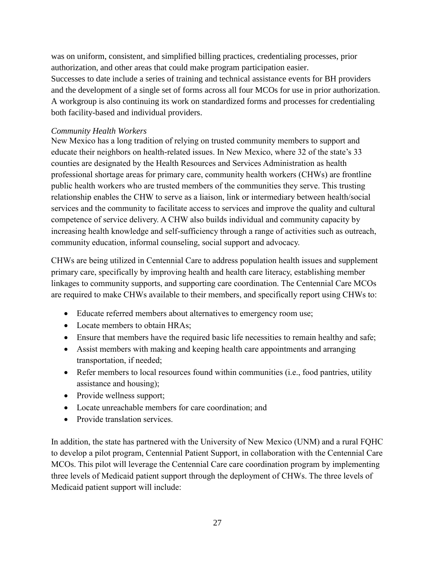was on uniform, consistent, and simplified billing practices, credentialing processes, prior authorization, and other areas that could make program participation easier. Successes to date include a series of training and technical assistance events for BH providers and the development of a single set of forms across all four MCOs for use in prior authorization. A workgroup is also continuing its work on standardized forms and processes for credentialing both facility-based and individual providers.

## *Community Health Workers*

New Mexico has a long tradition of relying on trusted community members to support and educate their neighbors on health-related issues. In New Mexico, where 32 of the state's 33 counties are designated by the Health Resources and Services Administration as health professional shortage areas for primary care, community health workers (CHWs) are frontline public health workers who are trusted members of the communities they serve. This trusting relationship enables the CHW to serve as a liaison, link or intermediary between health/social services and the community to facilitate access to services and improve the quality and cultural competence of service delivery. A CHW also builds individual and community capacity by increasing health knowledge and self-sufficiency through a range of activities such as outreach, community education, informal counseling, social support and advocacy.

CHWs are being utilized in Centennial Care to address population health issues and supplement primary care, specifically by improving health and health care literacy, establishing member linkages to community supports, and supporting care coordination. The Centennial Care MCOs are required to make CHWs available to their members, and specifically report using CHWs to:

- Educate referred members about alternatives to emergency room use;
- Locate members to obtain HRAs;
- Ensure that members have the required basic life necessities to remain healthy and safe;
- Assist members with making and keeping health care appointments and arranging transportation, if needed;
- Refer members to local resources found within communities (i.e., food pantries, utility assistance and housing);
- Provide wellness support;
- Locate unreachable members for care coordination; and
- Provide translation services.

In addition, the state has partnered with the University of New Mexico (UNM) and a rural FQHC to develop a pilot program, Centennial Patient Support, in collaboration with the Centennial Care MCOs. This pilot will leverage the Centennial Care care coordination program by implementing three levels of Medicaid patient support through the deployment of CHWs. The three levels of Medicaid patient support will include: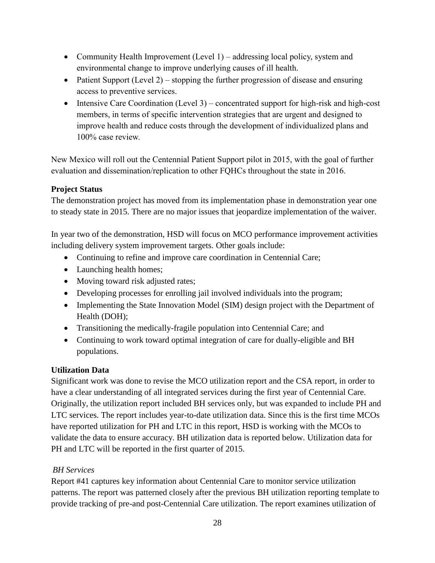- Community Health Improvement (Level 1) addressing local policy, system and environmental change to improve underlying causes of ill health.
- Patient Support (Level 2) stopping the further progression of disease and ensuring access to preventive services.
- Intensive Care Coordination (Level 3) concentrated support for high-risk and high-cost members, in terms of specific intervention strategies that are urgent and designed to improve health and reduce costs through the development of individualized plans and 100% case review.

New Mexico will roll out the Centennial Patient Support pilot in 2015, with the goal of further evaluation and dissemination/replication to other FQHCs throughout the state in 2016.

## <span id="page-28-0"></span>**Project Status**

The demonstration project has moved from its implementation phase in demonstration year one to steady state in 2015. There are no major issues that jeopardize implementation of the waiver.

In year two of the demonstration, HSD will focus on MCO performance improvement activities including delivery system improvement targets. Other goals include:

- Continuing to refine and improve care coordination in Centennial Care;
- Launching health homes;
- Moving toward risk adjusted rates;
- Developing processes for enrolling jail involved individuals into the program;
- Implementing the State Innovation Model (SIM) design project with the Department of Health (DOH);
- Transitioning the medically-fragile population into Centennial Care; and
- Continuing to work toward optimal integration of care for dually-eligible and BH populations.

## <span id="page-28-1"></span>**Utilization Data**

Significant work was done to revise the MCO utilization report and the CSA report, in order to have a clear understanding of all integrated services during the first year of Centennial Care. Originally, the utilization report included BH services only, but was expanded to include PH and LTC services. The report includes year-to-date utilization data. Since this is the first time MCOs have reported utilization for PH and LTC in this report, HSD is working with the MCOs to validate the data to ensure accuracy. BH utilization data is reported below. Utilization data for PH and LTC will be reported in the first quarter of 2015.

## *BH Services*

Report #41 captures key information about Centennial Care to monitor service utilization patterns. The report was patterned closely after the previous BH utilization reporting template to provide tracking of pre-and post-Centennial Care utilization. The report examines utilization of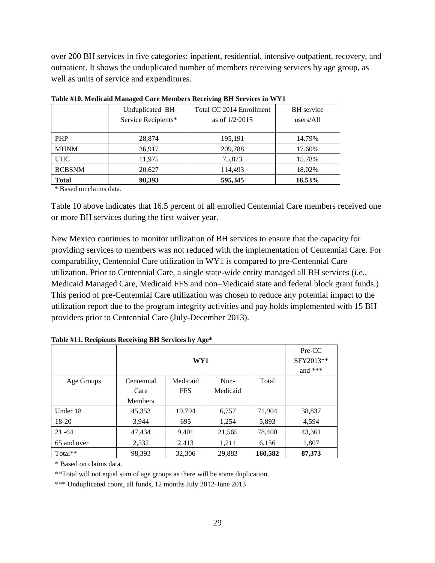over 200 BH services in five categories: inpatient, residential, intensive outpatient, recovery, and outpatient. It shows the unduplicated number of members receiving services by age group, as well as units of service and expenditures.

|               | Unduplicated BH<br>Service Recipients* | Total CC 2014 Enrollment<br>as of $1/2/2015$ | <b>BH</b> service<br>users/All |  |  |  |
|---------------|----------------------------------------|----------------------------------------------|--------------------------------|--|--|--|
|               |                                        |                                              |                                |  |  |  |
| <b>PHP</b>    | 28,874                                 | 195,191                                      | 14.79%                         |  |  |  |
| <b>MHNM</b>   | 36,917                                 | 209,788                                      | 17.60%                         |  |  |  |
| <b>UHC</b>    | 11,975                                 | 75,873                                       | 15.78%                         |  |  |  |
| <b>BCBSNM</b> | 20,627                                 | 114,493                                      | 18.02%                         |  |  |  |
| <b>Total</b>  | 98,393                                 | 595,345                                      | 16.53%                         |  |  |  |

**Table #10. Medicaid Managed Care Members Receiving BH Services in WY1**

\* Based on claims data.

Table 10 above indicates that 16.5 percent of all enrolled Centennial Care members received one or more BH services during the first waiver year.

New Mexico continues to monitor utilization of BH services to ensure that the capacity for providing services to members was not reduced with the implementation of Centennial Care. For comparability, Centennial Care utilization in WY1 is compared to pre-Centennial Care utilization. Prior to Centennial Care, a single state-wide entity managed all BH services (i.e., Medicaid Managed Care, Medicaid FFS and non–Medicaid state and federal block grant funds.) This period of pre-Centennial Care utilization was chosen to reduce any potential impact to the utilization report due to the program integrity activities and pay holds implemented with 15 BH providers prior to Centennial Care (July-December 2013).

|             |                | Pre-CC<br>SFY2013**<br>and $***$ |          |         |        |
|-------------|----------------|----------------------------------|----------|---------|--------|
| Age Groups  | Centennial     | Medicaid                         | Non-     | Total   |        |
|             | Care           | <b>FFS</b>                       | Medicaid |         |        |
|             | <b>Members</b> |                                  |          |         |        |
| Under 18    | 45,353         | 19,794                           | 6,757    | 71,904  | 38,837 |
| 18-20       | 3.944          | 695                              | 1,254    | 5,893   | 4,594  |
| $21 - 64$   | 47,434         | 9,401                            | 21,565   | 78,400  | 43,361 |
| 65 and over | 2,532          | 2,413                            | 1,211    | 6,156   | 1,807  |
| Total**     | 98,393         | 32,306                           | 29,883   | 160,582 | 87,373 |

**Table #11. Recipients Receiving BH Services by Age\***

\* Based on claims data.

\*\*Total will not equal sum of age groups as there will be some duplication.

\*\*\* Unduplicated count, all funds, 12 months July 2012-June 2013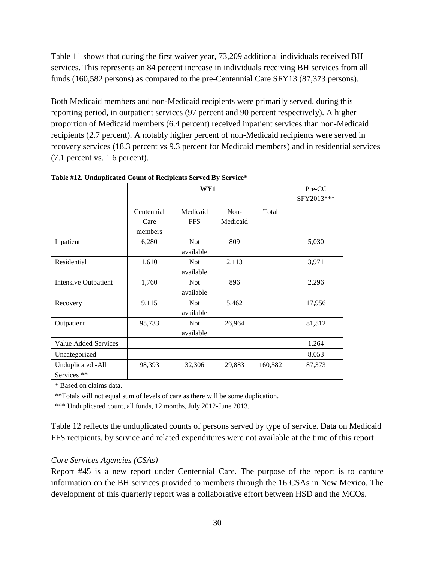Table 11 shows that during the first waiver year, 73,209 additional individuals received BH services. This represents an 84 percent increase in individuals receiving BH services from all funds (160,582 persons) as compared to the pre-Centennial Care SFY13 (87,373 persons).

Both Medicaid members and non-Medicaid recipients were primarily served, during this reporting period, in outpatient services (97 percent and 90 percent respectively). A higher proportion of Medicaid members (6.4 percent) received inpatient services than non-Medicaid recipients (2.7 percent). A notably higher percent of non-Medicaid recipients were served in recovery services (18.3 percent vs 9.3 percent for Medicaid members) and in residential services (7.1 percent vs. 1.6 percent).

|                                  |                    | Pre-CC                  |                  |         |            |
|----------------------------------|--------------------|-------------------------|------------------|---------|------------|
|                                  |                    |                         |                  |         | SFY2013*** |
|                                  | Centennial<br>Care | Medicaid<br><b>FFS</b>  | Non-<br>Medicaid | Total   |            |
| Inpatient                        | members<br>6,280   | <b>Not</b>              | 809              |         | 5,030      |
|                                  |                    | available               |                  |         |            |
| Residential                      | 1,610              | <b>Not</b><br>available | 2,113            |         | 3,971      |
| <b>Intensive Outpatient</b>      | 1,760              | <b>Not</b><br>available | 896              |         | 2,296      |
| Recovery                         | 9,115              | <b>Not</b><br>available | 5,462            |         | 17,956     |
| Outpatient                       | 95,733             | <b>Not</b><br>available | 26,964           |         | 81,512     |
| Value Added Services             |                    |                         |                  |         | 1,264      |
| Uncategorized                    |                    |                         |                  |         | 8,053      |
| Unduplicated -All<br>Services ** | 98,393             | 32,306                  | 29,883           | 160,582 | 87,373     |

**Table #12. Unduplicated Count of Recipients Served By Service\***

\* Based on claims data.

\*\*Totals will not equal sum of levels of care as there will be some duplication.

\*\*\* Unduplicated count, all funds, 12 months, July 2012-June 2013.

Table 12 reflects the unduplicated counts of persons served by type of service. Data on Medicaid FFS recipients, by service and related expenditures were not available at the time of this report.

#### *Core Services Agencies (CSAs)*

Report #45 is a new report under Centennial Care. The purpose of the report is to capture information on the BH services provided to members through the 16 CSAs in New Mexico. The development of this quarterly report was a collaborative effort between HSD and the MCOs.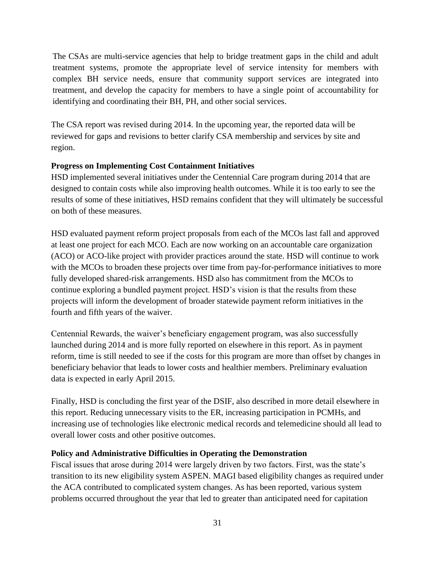The CSAs are multi-service agencies that help to bridge treatment gaps in the child and adult treatment systems, promote the appropriate level of service intensity for members with complex BH service needs, ensure that community support services are integrated into treatment, and develop the capacity for members to have a single point of accountability for identifying and coordinating their BH, PH, and other social services.

The CSA report was revised during 2014. In the upcoming year, the reported data will be reviewed for gaps and revisions to better clarify CSA membership and services by site and region.

## <span id="page-31-0"></span>**Progress on Implementing Cost Containment Initiatives**

HSD implemented several initiatives under the Centennial Care program during 2014 that are designed to contain costs while also improving health outcomes. While it is too early to see the results of some of these initiatives, HSD remains confident that they will ultimately be successful on both of these measures.

HSD evaluated payment reform project proposals from each of the MCOs last fall and approved at least one project for each MCO. Each are now working on an accountable care organization (ACO) or ACO-like project with provider practices around the state. HSD will continue to work with the MCOs to broaden these projects over time from pay-for-performance initiatives to more fully developed shared-risk arrangements. HSD also has commitment from the MCOs to continue exploring a bundled payment project. HSD's vision is that the results from these projects will inform the development of broader statewide payment reform initiatives in the fourth and fifth years of the waiver.

Centennial Rewards, the waiver's beneficiary engagement program, was also successfully launched during 2014 and is more fully reported on elsewhere in this report. As in payment reform, time is still needed to see if the costs for this program are more than offset by changes in beneficiary behavior that leads to lower costs and healthier members. Preliminary evaluation data is expected in early April 2015.

Finally, HSD is concluding the first year of the DSIF, also described in more detail elsewhere in this report. Reducing unnecessary visits to the ER, increasing participation in PCMHs, and increasing use of technologies like electronic medical records and telemedicine should all lead to overall lower costs and other positive outcomes.

## <span id="page-31-1"></span>**Policy and Administrative Difficulties in Operating the Demonstration**

Fiscal issues that arose during 2014 were largely driven by two factors. First, was the state's transition to its new eligibility system ASPEN. MAGI based eligibility changes as required under the ACA contributed to complicated system changes. As has been reported, various system problems occurred throughout the year that led to greater than anticipated need for capitation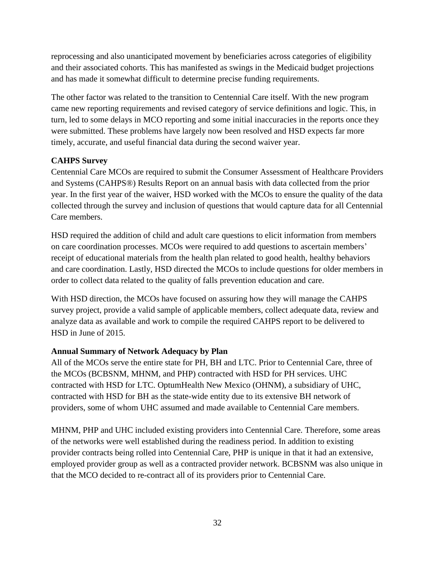reprocessing and also unanticipated movement by beneficiaries across categories of eligibility and their associated cohorts. This has manifested as swings in the Medicaid budget projections and has made it somewhat difficult to determine precise funding requirements.

The other factor was related to the transition to Centennial Care itself. With the new program came new reporting requirements and revised category of service definitions and logic. This, in turn, led to some delays in MCO reporting and some initial inaccuracies in the reports once they were submitted. These problems have largely now been resolved and HSD expects far more timely, accurate, and useful financial data during the second waiver year.

## <span id="page-32-0"></span>**CAHPS Survey**

Centennial Care MCOs are required to submit the Consumer Assessment of Healthcare Providers and Systems (CAHPS®) Results Report on an annual basis with data collected from the prior year. In the first year of the waiver, HSD worked with the MCOs to ensure the quality of the data collected through the survey and inclusion of questions that would capture data for all Centennial Care members.

HSD required the addition of child and adult care questions to elicit information from members on care coordination processes. MCOs were required to add questions to ascertain members' receipt of educational materials from the health plan related to good health, healthy behaviors and care coordination. Lastly, HSD directed the MCOs to include questions for older members in order to collect data related to the quality of falls prevention education and care.

With HSD direction, the MCOs have focused on assuring how they will manage the CAHPS survey project, provide a valid sample of applicable members, collect adequate data, review and analyze data as available and work to compile the required CAHPS report to be delivered to HSD in June of 2015.

## <span id="page-32-1"></span>**Annual Summary of Network Adequacy by Plan**

All of the MCOs serve the entire state for PH, BH and LTC. Prior to Centennial Care, three of the MCOs (BCBSNM, MHNM, and PHP) contracted with HSD for PH services. UHC contracted with HSD for LTC. OptumHealth New Mexico (OHNM), a subsidiary of UHC, contracted with HSD for BH as the state-wide entity due to its extensive BH network of providers, some of whom UHC assumed and made available to Centennial Care members.

MHNM, PHP and UHC included existing providers into Centennial Care. Therefore, some areas of the networks were well established during the readiness period. In addition to existing provider contracts being rolled into Centennial Care, PHP is unique in that it had an extensive, employed provider group as well as a contracted provider network. BCBSNM was also unique in that the MCO decided to re-contract all of its providers prior to Centennial Care.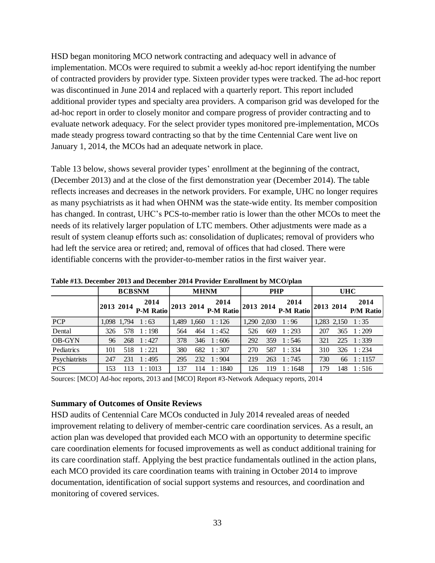HSD began monitoring MCO network contracting and adequacy well in advance of implementation. MCOs were required to submit a weekly ad-hoc report identifying the number of contracted providers by provider type. Sixteen provider types were tracked. The ad-hoc report was discontinued in June 2014 and replaced with a quarterly report. This report included additional provider types and specialty area providers. A comparison grid was developed for the ad-hoc report in order to closely monitor and compare progress of provider contracting and to evaluate network adequacy. For the select provider types monitored pre-implementation, MCOs made steady progress toward contracting so that by the time Centennial Care went live on January 1, 2014, the MCOs had an adequate network in place.

Table 13 below, shows several provider types' enrollment at the beginning of the contract, (December 2013) and at the close of the first demonstration year (December 2014). The table reflects increases and decreases in the network providers. For example, UHC no longer requires as many psychiatrists as it had when OHNM was the state-wide entity. Its member composition has changed. In contrast, UHC's PCS-to-member ratio is lower than the other MCOs to meet the needs of its relatively larger population of LTC members. Other adjustments were made as a result of system cleanup efforts such as: consolidation of duplicates; removal of providers who had left the service area or retired; and, removal of offices that had closed. There were identifiable concerns with the provider-to-member ratios in the first waiver year.

|               |     | <b>BCBSNM</b> |                                                                       | <b>MHNM</b> |     | <b>PHP</b>                                 |     |     | <b>UHC</b>                         |           |     |                          |
|---------------|-----|---------------|-----------------------------------------------------------------------|-------------|-----|--------------------------------------------|-----|-----|------------------------------------|-----------|-----|--------------------------|
|               |     |               | 2014<br>$\left  \frac{2013 \, 2014}{P-M \, \text{Ratio}} \right ^{7}$ |             |     | 2014<br>$\sim$ 2013 2014 P-M Ratio $ ^{7}$ |     |     | 2014<br>$\sim$ 2013 2014 P-M Ratio | 2013 2014 |     | 2014<br><b>P/M Ratio</b> |
| PCP           |     |               | $1,098$ 1,794 1:63                                                    |             |     | 1,489 1,660 1:126                          |     |     | 1,290 2,030 1:96                   |           |     | $1,283$ $2,150$ $1:35$   |
| Dental        | 326 |               | 578 1:198                                                             | 564         |     | 464 1:452                                  | 526 | 669 | 1:293                              | 207       |     | $365 \quad 1:209$        |
| <b>OB-GYN</b> | 96  |               | $268 \quad 1:427$                                                     | 378         |     | $346 \quad 1:606$                          | 292 |     | 359 1:546                          | 321       |     | 225 1:339                |
| Pediatrics    | 101 |               | 518 1:221                                                             | 380         |     | 682 1:307                                  | 270 | 587 | 1:334                              | 310       |     | $326 \quad 1:234$        |
| Psychiatrists | 247 |               | $231 \quad 1:495$                                                     | 295         |     | 232 1:904                                  | 219 |     | 263 1:745                          | 730       |     | 66 1:1157                |
| <b>PCS</b>    | 153 | 113           | 1:1013                                                                | 137         | 114 | 1:1840                                     | 126 | 119 | 1:1648                             | 179       | 148 | 1:516                    |

**Table #13. December 2013 and December 2014 Provider Enrollment by MCO/plan**

Sources: [MCO] Ad-hoc reports, 2013 and [MCO] Report #3-Network Adequacy reports, 2014

#### <span id="page-33-0"></span>**Summary of Outcomes of Onsite Reviews**

HSD audits of Centennial Care MCOs conducted in July 2014 revealed areas of needed improvement relating to delivery of member-centric care coordination services. As a result, an action plan was developed that provided each MCO with an opportunity to determine specific care coordination elements for focused improvements as well as conduct additional training for its care coordination staff. Applying the best practice fundamentals outlined in the action plans, each MCO provided its care coordination teams with training in October 2014 to improve documentation, identification of social support systems and resources, and coordination and monitoring of covered services.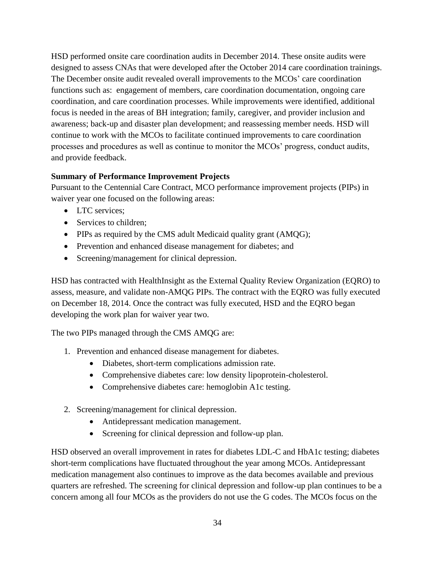HSD performed onsite care coordination audits in December 2014. These onsite audits were designed to assess CNAs that were developed after the October 2014 care coordination trainings. The December onsite audit revealed overall improvements to the MCOs' care coordination functions such as: engagement of members, care coordination documentation, ongoing care coordination, and care coordination processes. While improvements were identified, additional focus is needed in the areas of BH integration; family, caregiver, and provider inclusion and awareness; back-up and disaster plan development; and reassessing member needs. HSD will continue to work with the MCOs to facilitate continued improvements to care coordination processes and procedures as well as continue to monitor the MCOs' progress, conduct audits, and provide feedback.

## <span id="page-34-0"></span>**Summary of Performance Improvement Projects**

Pursuant to the Centennial Care Contract, MCO performance improvement projects (PIPs) in waiver year one focused on the following areas:

- LTC services:
- Services to children;
- PIPs as required by the CMS adult Medicaid quality grant (AMQG);
- Prevention and enhanced disease management for diabetes; and
- Screening/management for clinical depression.

HSD has contracted with HealthInsight as the External Quality Review Organization (EQRO) to assess, measure, and validate non-AMQG PIPs. The contract with the EQRO was fully executed on December 18, 2014. Once the contract was fully executed, HSD and the EQRO began developing the work plan for waiver year two.

The two PIPs managed through the CMS AMQG are:

- 1. Prevention and enhanced disease management for diabetes.
	- Diabetes, short-term complications admission rate.
	- Comprehensive diabetes care: low density lipoprotein-cholesterol.
	- Comprehensive diabetes care: hemoglobin A1c testing.
- 2. Screening/management for clinical depression.
	- Antidepressant medication management.
	- Screening for clinical depression and follow-up plan.

HSD observed an overall improvement in rates for diabetes LDL-C and HbA1c testing; diabetes short-term complications have fluctuated throughout the year among MCOs. Antidepressant medication management also continues to improve as the data becomes available and previous quarters are refreshed. The screening for clinical depression and follow-up plan continues to be a concern among all four MCOs as the providers do not use the G codes. The MCOs focus on the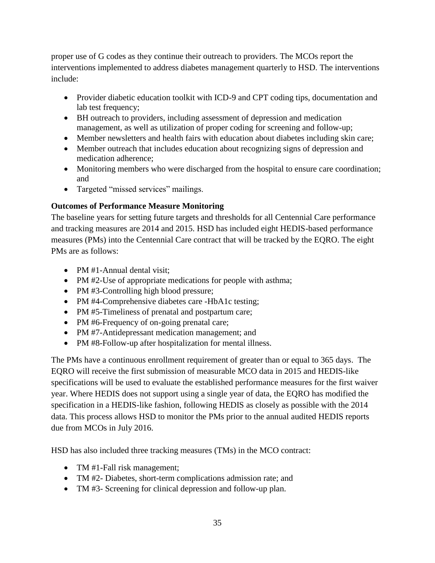proper use of G codes as they continue their outreach to providers. The MCOs report the interventions implemented to address diabetes management quarterly to HSD. The interventions include:

- Provider diabetic education toolkit with ICD-9 and CPT coding tips, documentation and lab test frequency;
- BH outreach to providers, including assessment of depression and medication management, as well as utilization of proper coding for screening and follow-up;
- Member newsletters and health fairs with education about diabetes including skin care;
- Member outreach that includes education about recognizing signs of depression and medication adherence;
- Monitoring members who were discharged from the hospital to ensure care coordination; and
- Targeted "missed services" mailings.

# <span id="page-35-0"></span>**Outcomes of Performance Measure Monitoring**

The baseline years for setting future targets and thresholds for all Centennial Care performance and tracking measures are 2014 and 2015. HSD has included eight HEDIS-based performance measures (PMs) into the Centennial Care contract that will be tracked by the EQRO. The eight PMs are as follows:

- PM #1-Annual dental visit:
- PM #2-Use of appropriate medications for people with asthma;
- PM #3-Controlling high blood pressure;
- PM #4-Comprehensive diabetes care -HbA1c testing;
- PM #5-Timeliness of prenatal and postpartum care;
- PM #6-Frequency of on-going prenatal care;
- PM #7-Antidepressant medication management; and
- PM #8-Follow-up after hospitalization for mental illness.

The PMs have a continuous enrollment requirement of greater than or equal to 365 days. The EQRO will receive the first submission of measurable MCO data in 2015 and HEDIS-like specifications will be used to evaluate the established performance measures for the first waiver year. Where HEDIS does not support using a single year of data, the EQRO has modified the specification in a HEDIS-like fashion, following HEDIS as closely as possible with the 2014 data. This process allows HSD to monitor the PMs prior to the annual audited HEDIS reports due from MCOs in July 2016.

HSD has also included three tracking measures (TMs) in the MCO contract:

- TM #1-Fall risk management;
- TM #2- Diabetes, short-term complications admission rate; and
- TM #3- Screening for clinical depression and follow-up plan.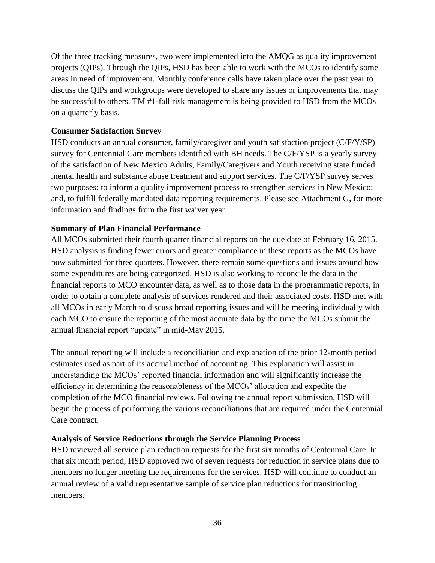Of the three tracking measures, two were implemented into the AMQG as quality improvement projects (QIPs). Through the QIPs, HSD has been able to work with the MCOs to identify some areas in need of improvement. Monthly conference calls have taken place over the past year to discuss the QIPs and workgroups were developed to share any issues or improvements that may be successful to others. TM #1-fall risk management is being provided to HSD from the MCOs on a quarterly basis.

#### <span id="page-36-0"></span>**Consumer Satisfaction Survey**

HSD conducts an annual consumer, family/caregiver and youth satisfaction project (C/F/Y/SP) survey for Centennial Care members identified with BH needs. The C/F/YSP is a yearly survey of the satisfaction of New Mexico Adults, Family/Caregivers and Youth receiving state funded mental health and substance abuse treatment and support services. The C/F/YSP survey serves two purposes: to inform a quality improvement process to strengthen services in New Mexico; and, to fulfill federally mandated data reporting requirements. Please see Attachment G, for more information and findings from the first waiver year.

## <span id="page-36-1"></span>**Summary of Plan Financial Performance**

All MCOs submitted their fourth quarter financial reports on the due date of February 16, 2015. HSD analysis is finding fewer errors and greater compliance in these reports as the MCOs have now submitted for three quarters. However, there remain some questions and issues around how some expenditures are being categorized. HSD is also working to reconcile the data in the financial reports to MCO encounter data, as well as to those data in the programmatic reports, in order to obtain a complete analysis of services rendered and their associated costs. HSD met with all MCOs in early March to discuss broad reporting issues and will be meeting individually with each MCO to ensure the reporting of the most accurate data by the time the MCOs submit the annual financial report "update" in mid-May 2015.

The annual reporting will include a reconciliation and explanation of the prior 12-month period estimates used as part of its accrual method of accounting. This explanation will assist in understanding the MCOs' reported financial information and will significantly increase the efficiency in determining the reasonableness of the MCOs' allocation and expedite the completion of the MCO financial reviews. Following the annual report submission, HSD will begin the process of performing the various reconciliations that are required under the Centennial Care contract.

#### <span id="page-36-2"></span>**Analysis of Service Reductions through the Service Planning Process**

HSD reviewed all service plan reduction requests for the first six months of Centennial Care. In that six month period, HSD approved two of seven requests for reduction in service plans due to members no longer meeting the requirements for the services. HSD will continue to conduct an annual review of a valid representative sample of service plan reductions for transitioning members.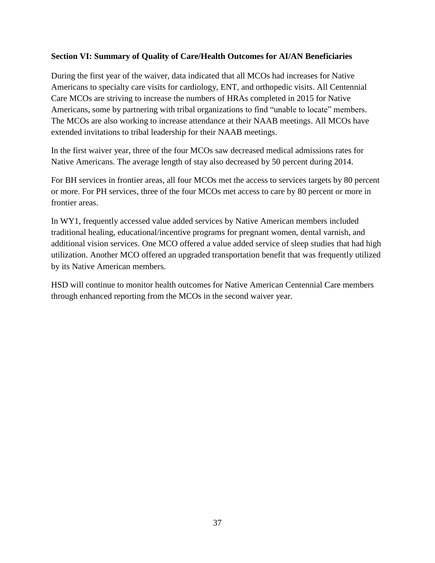## <span id="page-37-0"></span>**Section VI: Summary of Quality of Care/Health Outcomes for AI/AN Beneficiaries**

During the first year of the waiver, data indicated that all MCOs had increases for Native Americans to specialty care visits for cardiology, ENT, and orthopedic visits. All Centennial Care MCOs are striving to increase the numbers of HRAs completed in 2015 for Native Americans, some by partnering with tribal organizations to find "unable to locate" members. The MCOs are also working to increase attendance at their NAAB meetings. All MCOs have extended invitations to tribal leadership for their NAAB meetings.

In the first waiver year, three of the four MCOs saw decreased medical admissions rates for Native Americans. The average length of stay also decreased by 50 percent during 2014.

For BH services in frontier areas, all four MCOs met the access to services targets by 80 percent or more. For PH services, three of the four MCOs met access to care by 80 percent or more in frontier areas.

In WY1, frequently accessed value added services by Native American members included traditional healing, educational/incentive programs for pregnant women, dental varnish, and additional vision services. One MCO offered a value added service of sleep studies that had high utilization. Another MCO offered an upgraded transportation benefit that was frequently utilized by its Native American members.

HSD will continue to monitor health outcomes for Native American Centennial Care members through enhanced reporting from the MCOs in the second waiver year.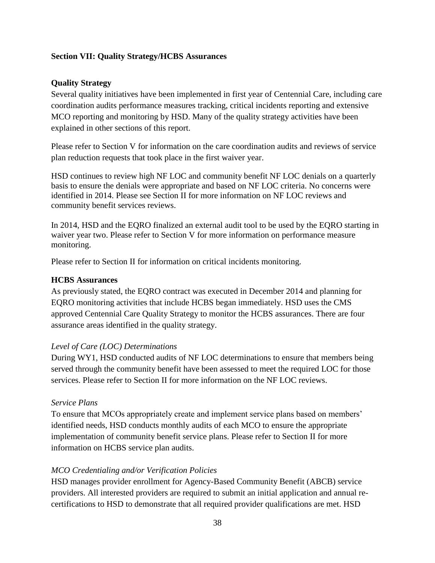## <span id="page-38-0"></span>**Section VII: Quality Strategy/HCBS Assurances**

#### <span id="page-38-1"></span>**Quality Strategy**

Several quality initiatives have been implemented in first year of Centennial Care, including care coordination audits performance measures tracking, critical incidents reporting and extensive MCO reporting and monitoring by HSD. Many of the quality strategy activities have been explained in other sections of this report.

Please refer to Section V for information on the care coordination audits and reviews of service plan reduction requests that took place in the first waiver year.

HSD continues to review high NF LOC and community benefit NF LOC denials on a quarterly basis to ensure the denials were appropriate and based on NF LOC criteria. No concerns were identified in 2014. Please see Section II for more information on NF LOC reviews and community benefit services reviews.

In 2014, HSD and the EQRO finalized an external audit tool to be used by the EQRO starting in waiver year two. Please refer to Section V for more information on performance measure monitoring.

Please refer to Section II for information on critical incidents monitoring.

#### <span id="page-38-2"></span>**HCBS Assurances**

As previously stated, the EQRO contract was executed in December 2014 and planning for EQRO monitoring activities that include HCBS began immediately. HSD uses the CMS approved Centennial Care Quality Strategy to monitor the HCBS assurances. There are four assurance areas identified in the quality strategy.

#### *Level of Care (LOC) Determinations*

During WY1, HSD conducted audits of NF LOC determinations to ensure that members being served through the community benefit have been assessed to meet the required LOC for those services. Please refer to Section II for more information on the NF LOC reviews.

#### *Service Plans*

To ensure that MCOs appropriately create and implement service plans based on members' identified needs, HSD conducts monthly audits of each MCO to ensure the appropriate implementation of community benefit service plans. Please refer to Section II for more information on HCBS service plan audits.

#### *MCO Credentialing and/or Verification Policies*

HSD manages provider enrollment for Agency-Based Community Benefit (ABCB) service providers. All interested providers are required to submit an initial application and annual recertifications to HSD to demonstrate that all required provider qualifications are met. HSD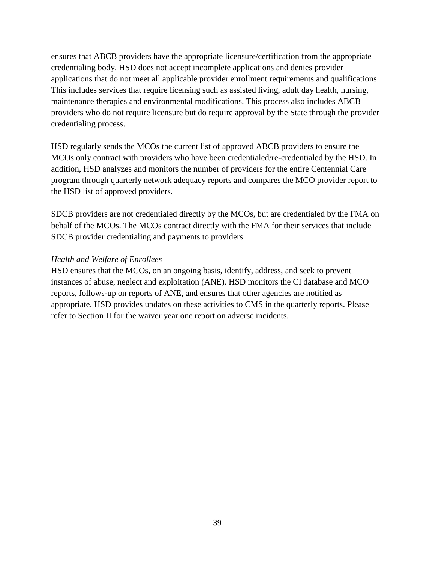ensures that ABCB providers have the appropriate licensure/certification from the appropriate credentialing body. HSD does not accept incomplete applications and denies provider applications that do not meet all applicable provider enrollment requirements and qualifications. This includes services that require licensing such as assisted living, adult day health, nursing, maintenance therapies and environmental modifications. This process also includes ABCB providers who do not require licensure but do require approval by the State through the provider credentialing process.

HSD regularly sends the MCOs the current list of approved ABCB providers to ensure the MCOs only contract with providers who have been credentialed/re-credentialed by the HSD. In addition, HSD analyzes and monitors the number of providers for the entire Centennial Care program through quarterly network adequacy reports and compares the MCO provider report to the HSD list of approved providers.

SDCB providers are not credentialed directly by the MCOs, but are credentialed by the FMA on behalf of the MCOs. The MCOs contract directly with the FMA for their services that include SDCB provider credentialing and payments to providers.

#### *Health and Welfare of Enrollees*

HSD ensures that the MCOs, on an ongoing basis, identify, address, and seek to prevent instances of abuse, neglect and exploitation (ANE). HSD monitors the CI database and MCO reports, follows-up on reports of ANE, and ensures that other agencies are notified as appropriate. HSD provides updates on these activities to CMS in the quarterly reports. Please refer to Section II for the waiver year one report on adverse incidents.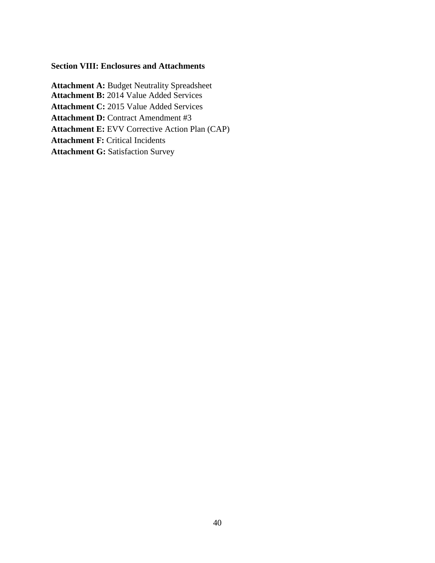#### **Section VIII: Enclosures and Attachments**

**Attachment A:** Budget Neutrality Spreadsheet **Attachment B:** 2014 Value Added Services **Attachment C:** 2015 Value Added Services **Attachment D:** Contract Amendment #3 **Attachment E:** EVV Corrective Action Plan (CAP) **Attachment F:** Critical Incidents **Attachment G: Satisfaction Survey**